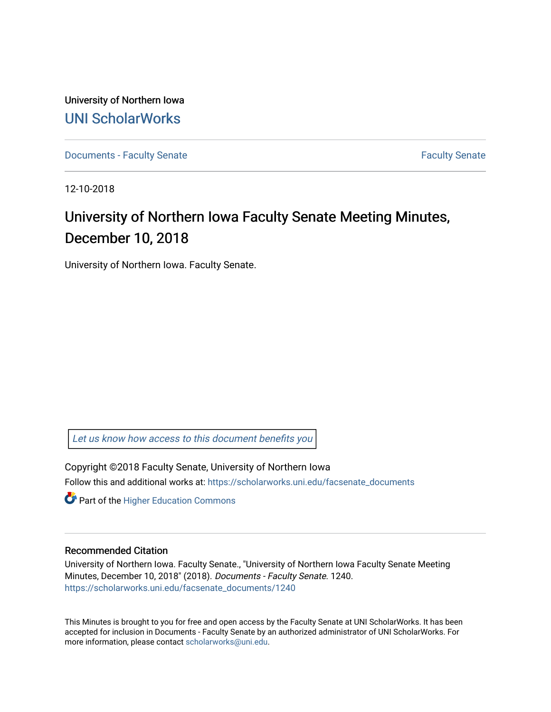University of Northern Iowa [UNI ScholarWorks](https://scholarworks.uni.edu/) 

[Documents - Faculty Senate](https://scholarworks.uni.edu/facsenate_documents) [Faculty Senate](https://scholarworks.uni.edu/facsenate) Faculty Senate

12-10-2018

# University of Northern Iowa Faculty Senate Meeting Minutes, December 10, 2018

University of Northern Iowa. Faculty Senate.

[Let us know how access to this document benefits you](https://scholarworks.uni.edu/feedback_form.html) 

Copyright ©2018 Faculty Senate, University of Northern Iowa Follow this and additional works at: [https://scholarworks.uni.edu/facsenate\\_documents](https://scholarworks.uni.edu/facsenate_documents?utm_source=scholarworks.uni.edu%2Ffacsenate_documents%2F1240&utm_medium=PDF&utm_campaign=PDFCoverPages) 

**Part of the Higher Education Commons** 

#### Recommended Citation

University of Northern Iowa. Faculty Senate., "University of Northern Iowa Faculty Senate Meeting Minutes, December 10, 2018" (2018). Documents - Faculty Senate. 1240. [https://scholarworks.uni.edu/facsenate\\_documents/1240](https://scholarworks.uni.edu/facsenate_documents/1240?utm_source=scholarworks.uni.edu%2Ffacsenate_documents%2F1240&utm_medium=PDF&utm_campaign=PDFCoverPages) 

This Minutes is brought to you for free and open access by the Faculty Senate at UNI ScholarWorks. It has been accepted for inclusion in Documents - Faculty Senate by an authorized administrator of UNI ScholarWorks. For more information, please contact [scholarworks@uni.edu.](mailto:scholarworks@uni.edu)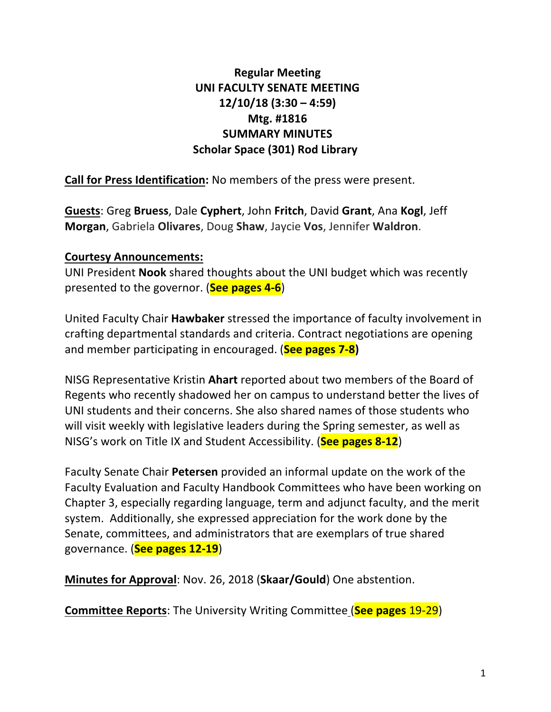# **Regular Meeting UNI FACULTY SENATE MEETING 12/10/18 (3:30 – 4:59) Mtg. #1816 SUMMARY MINUTES Scholar Space (301) Rod Library**

**Call for Press Identification:** No members of the press were present.

**Guests:** Greg Bruess, Dale Cyphert, John Fritch, David Grant, Ana Kogl, Jeff **Morgan**, Gabriela Olivares, Doug Shaw, Jaycie Vos, Jennifer Waldron.

# **Courtesy Announcements:**

UNI President **Nook** shared thoughts about the UNI budget which was recently presented to the governor. (**See pages 4-6**)

United Faculty Chair **Hawbaker** stressed the importance of faculty involvement in crafting departmental standards and criteria. Contract negotiations are opening and member participating in encouraged. (**See pages 7-8**)

NISG Representative Kristin **Ahart** reported about two members of the Board of Regents who recently shadowed her on campus to understand better the lives of UNI students and their concerns. She also shared names of those students who will visit weekly with legislative leaders during the Spring semester, as well as NISG's work on Title IX and Student Accessibility. (See pages 8-12)

Faculty Senate Chair **Petersen** provided an informal update on the work of the Faculty Evaluation and Faculty Handbook Committees who have been working on Chapter 3, especially regarding language, term and adjunct faculty, and the merit system. Additionally, she expressed appreciation for the work done by the Senate, committees, and administrators that are exemplars of true shared governance. (**See pages 12-19**)

**Minutes for Approval:** Nov. 26, 2018 (Skaar/Gould) One abstention.

**Committee Reports:** The University Writing Committee (See pages 19-29)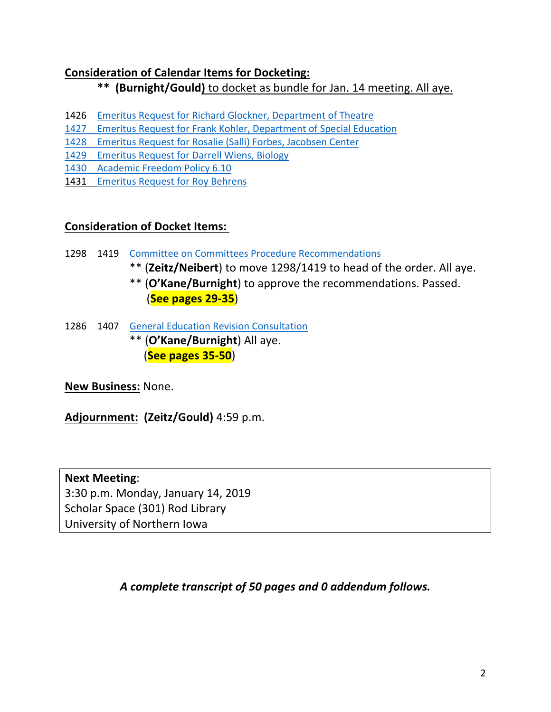# **Consideration of Calendar Items for Docketing:**

\*\* (Burnight/Gould) to docket as bundle for Jan. 14 meeting. All aye.

- 1426 Emeritus Request for Richard Glockner, Department of Theatre
- 1427 Emeritus Request for Frank Kohler, Department of Special Education
- 1428 Emeritus Request for Rosalie (Salli) Forbes, Jacobsen Center
- 1429 Emeritus Request for Darrell Wiens, Biology
- 1430 Academic Freedom Policy 6.10
- 1431 Emeritus Request for Roy Behrens

# **Consideration of Docket Items:**

- 1298 1419 Committee on Committees Procedure Recommendations
	- \*\* (Zeitz/Neibert) to move 1298/1419 to head of the order. All aye.
	- \*\* (O'Kane/Burnight) to approve the recommendations. Passed. (**See pages 29-35**)
- 1286 1407 General Education Revision Consultation \*\* (**O'Kane/Burnight**) All aye. **(See pages 35-50)**

**New Business:** None.

**Adjournment: (Zeitz/Gould)** 4:59 p.m.

**Next Meeting**: 3:30 p.m. Monday, January 14, 2019 Scholar Space (301) Rod Library University of Northern Iowa

*A complete transcript of 50 pages and 0 addendum follows.*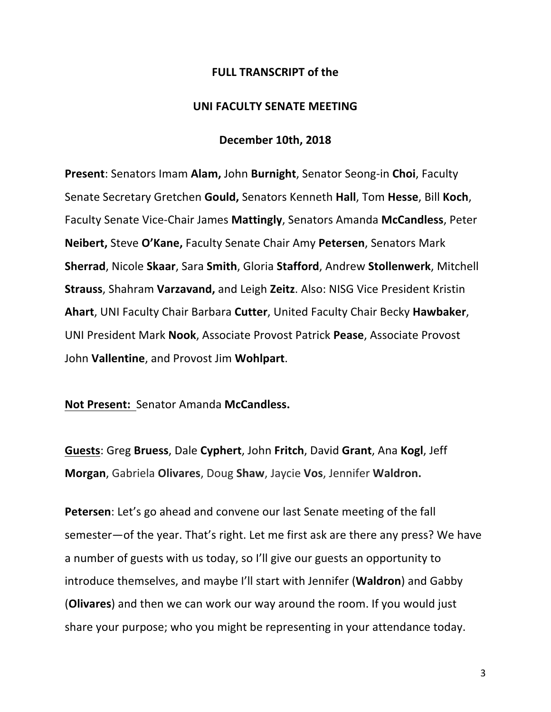#### **FULL TRANSCRIPT of the**

#### **UNI FACULTY SENATE MEETING**

#### **December 10th, 2018**

**Present:** Senators Imam **Alam,** John **Burnight**, Senator Seong-in Choi, Faculty Senate Secretary Gretchen **Gould,** Senators Kenneth **Hall**, Tom **Hesse**, Bill **Koch**, Faculty Senate Vice-Chair James **Mattingly**, Senators Amanda **McCandless**, Peter **Neibert, Steve O'Kane, Faculty Senate Chair Amy Petersen, Senators Mark Sherrad**, Nicole Skaar, Sara Smith, Gloria Stafford, Andrew Stollenwerk, Mitchell **Strauss, Shahram Varzavand, and Leigh Zeitz. Also: NISG Vice President Kristin** Ahart, UNI Faculty Chair Barbara Cutter, United Faculty Chair Becky Hawbaker, UNI President Mark Nook, Associate Provost Patrick Pease, Associate Provost John Vallentine, and Provost Jim Wohlpart.

#### Not Present: Senator Amanda McCandless.

**Guests: Greg Bruess, Dale Cyphert, John Fritch, David Grant, Ana Kogl, Jeff Morgan**, Gabriela Olivares, Doug Shaw, Jaycie Vos, Jennifer Waldron.

**Petersen**: Let's go ahead and convene our last Senate meeting of the fall semester—of the year. That's right. Let me first ask are there any press? We have a number of guests with us today, so I'll give our guests an opportunity to introduce themselves, and maybe I'll start with Jennifer (**Waldron**) and Gabby **(Olivares)** and then we can work our way around the room. If you would just share your purpose; who you might be representing in your attendance today.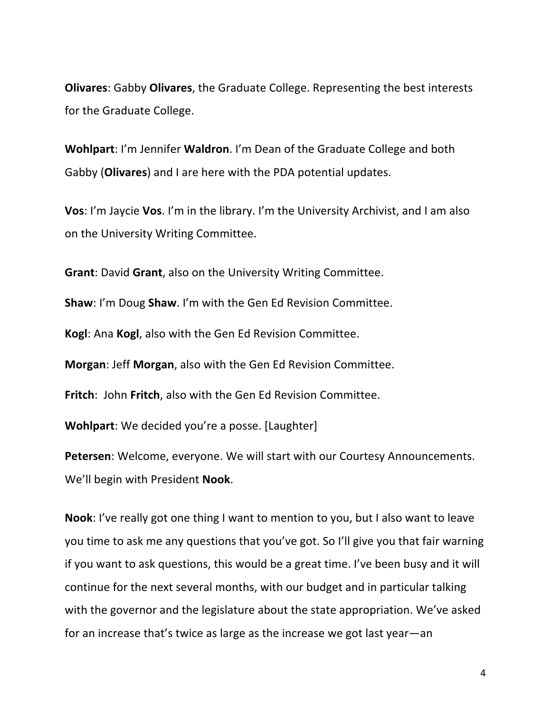**Olivares:** Gabby **Olivares**, the Graduate College. Representing the best interests for the Graduate College.

**Wohlpart:** I'm Jennifer **Waldron**. I'm Dean of the Graduate College and both Gabby (**Olivares**) and I are here with the PDA potential updates.

**Vos**: I'm Jaycie **Vos**. I'm in the library. I'm the University Archivist, and I am also on the University Writing Committee.

**Grant:** David Grant, also on the University Writing Committee.

**Shaw:** I'm Doug **Shaw**. I'm with the Gen Ed Revision Committee.

**Kogl:** Ana **Kogl**, also with the Gen Ed Revision Committee.

**Morgan: Jeff Morgan, also with the Gen Ed Revision Committee.** 

**Fritch:** John Fritch, also with the Gen Ed Revision Committee.

**Wohlpart:** We decided you're a posse. [Laughter]

**Petersen:** Welcome, everyone. We will start with our Courtesy Announcements. We'll begin with President **Nook**.

**Nook**: I've really got one thing I want to mention to you, but I also want to leave you time to ask me any questions that you've got. So I'll give you that fair warning if you want to ask questions, this would be a great time. I've been busy and it will continue for the next several months, with our budget and in particular talking with the governor and the legislature about the state appropriation. We've asked for an increase that's twice as large as the increase we got last year—an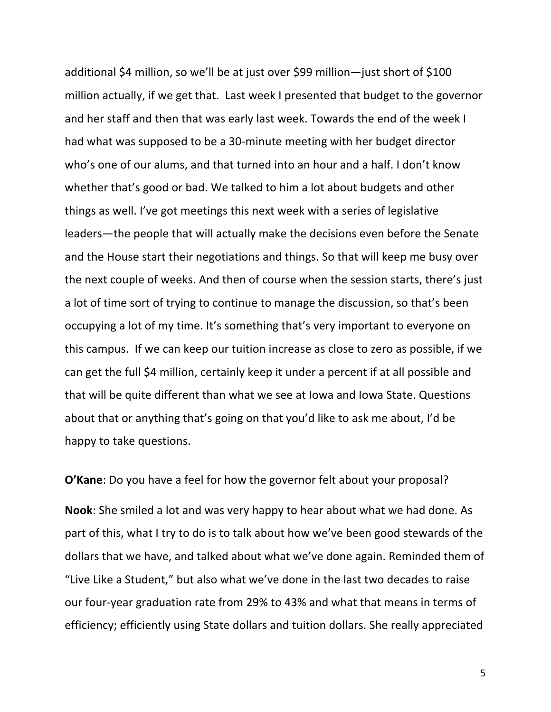additional \$4 million, so we'll be at just over \$99 million—just short of \$100 million actually, if we get that. Last week I presented that budget to the governor and her staff and then that was early last week. Towards the end of the week I had what was supposed to be a 30-minute meeting with her budget director who's one of our alums, and that turned into an hour and a half. I don't know whether that's good or bad. We talked to him a lot about budgets and other things as well. I've got meetings this next week with a series of legislative leaders—the people that will actually make the decisions even before the Senate and the House start their negotiations and things. So that will keep me busy over the next couple of weeks. And then of course when the session starts, there's just a lot of time sort of trying to continue to manage the discussion, so that's been occupying a lot of my time. It's something that's very important to everyone on this campus. If we can keep our tuition increase as close to zero as possible, if we can get the full \$4 million, certainly keep it under a percent if at all possible and that will be quite different than what we see at lowa and lowa State. Questions about that or anything that's going on that you'd like to ask me about, I'd be happy to take questions.

**O'Kane**: Do you have a feel for how the governor felt about your proposal?

**Nook**: She smiled a lot and was very happy to hear about what we had done. As part of this, what I try to do is to talk about how we've been good stewards of the dollars that we have, and talked about what we've done again. Reminded them of "Live Like a Student," but also what we've done in the last two decades to raise our four-year graduation rate from 29% to 43% and what that means in terms of efficiency; efficiently using State dollars and tuition dollars. She really appreciated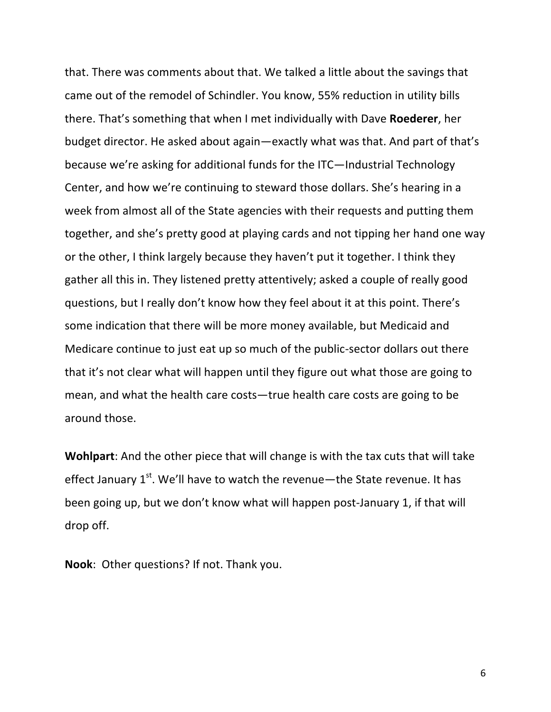that. There was comments about that. We talked a little about the savings that came out of the remodel of Schindler. You know, 55% reduction in utility bills there. That's something that when I met individually with Dave Roederer, her budget director. He asked about again—exactly what was that. And part of that's because we're asking for additional funds for the ITC—Industrial Technology Center, and how we're continuing to steward those dollars. She's hearing in a week from almost all of the State agencies with their requests and putting them together, and she's pretty good at playing cards and not tipping her hand one way or the other, I think largely because they haven't put it together. I think they gather all this in. They listened pretty attentively; asked a couple of really good questions, but I really don't know how they feel about it at this point. There's some indication that there will be more money available, but Medicaid and Medicare continue to just eat up so much of the public-sector dollars out there that it's not clear what will happen until they figure out what those are going to mean, and what the health care costs—true health care costs are going to be around those.

**Wohlpart:** And the other piece that will change is with the tax cuts that will take effect January  $1<sup>st</sup>$ . We'll have to watch the revenue—the State revenue. It has been going up, but we don't know what will happen post-January 1, if that will drop off.

**Nook:** Other questions? If not. Thank you.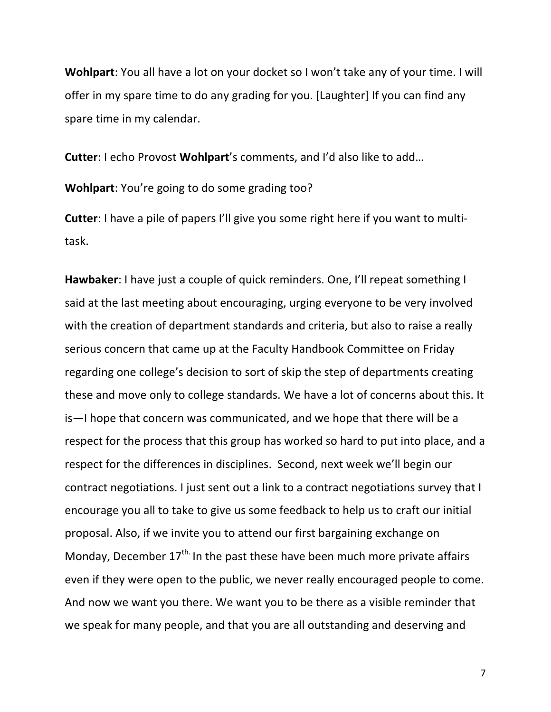**Wohlpart**: You all have a lot on your docket so I won't take any of your time. I will offer in my spare time to do any grading for you. [Laughter] If you can find any spare time in my calendar.

**Cutter:** I echo Provost Wohlpart's comments, and I'd also like to add...

**Wohlpart:** You're going to do some grading too?

**Cutter**: I have a pile of papers I'll give you some right here if you want to multitask.

**Hawbaker**: I have just a couple of quick reminders. One, I'll repeat something I said at the last meeting about encouraging, urging everyone to be very involved with the creation of department standards and criteria, but also to raise a really serious concern that came up at the Faculty Handbook Committee on Friday regarding one college's decision to sort of skip the step of departments creating these and move only to college standards. We have a lot of concerns about this. It is—I hope that concern was communicated, and we hope that there will be a respect for the process that this group has worked so hard to put into place, and a respect for the differences in disciplines. Second, next week we'll begin our contract negotiations. I just sent out a link to a contract negotiations survey that I encourage you all to take to give us some feedback to help us to craft our initial proposal. Also, if we invite you to attend our first bargaining exchange on Monday, December  $17<sup>th</sup>$  In the past these have been much more private affairs even if they were open to the public, we never really encouraged people to come. And now we want you there. We want you to be there as a visible reminder that we speak for many people, and that you are all outstanding and deserving and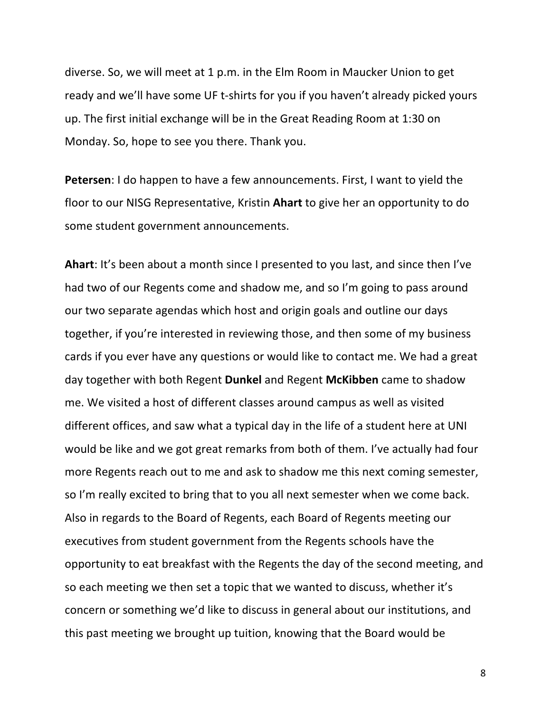diverse. So, we will meet at 1 p.m. in the Elm Room in Maucker Union to get ready and we'll have some UF t-shirts for you if you haven't already picked yours up. The first initial exchange will be in the Great Reading Room at 1:30 on Monday. So, hope to see you there. Thank you.

**Petersen**: I do happen to have a few announcements. First, I want to yield the floor to our NISG Representative, Kristin **Ahart** to give her an opportunity to do some student government announcements.

**Ahart:** It's been about a month since I presented to you last, and since then I've had two of our Regents come and shadow me, and so I'm going to pass around our two separate agendas which host and origin goals and outline our days together, if you're interested in reviewing those, and then some of my business cards if you ever have any questions or would like to contact me. We had a great day together with both Regent **Dunkel** and Regent McKibben came to shadow me. We visited a host of different classes around campus as well as visited different offices, and saw what a typical day in the life of a student here at UNI would be like and we got great remarks from both of them. I've actually had four more Regents reach out to me and ask to shadow me this next coming semester, so I'm really excited to bring that to you all next semester when we come back. Also in regards to the Board of Regents, each Board of Regents meeting our executives from student government from the Regents schools have the opportunity to eat breakfast with the Regents the day of the second meeting, and so each meeting we then set a topic that we wanted to discuss, whether it's concern or something we'd like to discuss in general about our institutions, and this past meeting we brought up tuition, knowing that the Board would be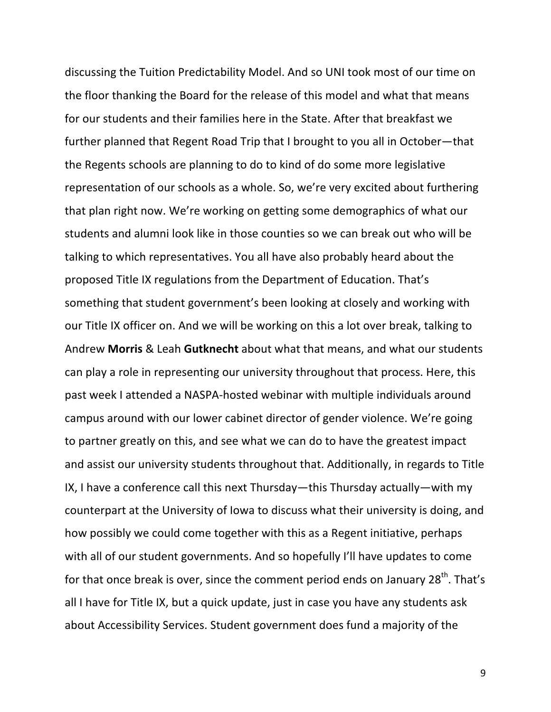discussing the Tuition Predictability Model. And so UNI took most of our time on the floor thanking the Board for the release of this model and what that means for our students and their families here in the State. After that breakfast we further planned that Regent Road Trip that I brought to you all in October—that the Regents schools are planning to do to kind of do some more legislative representation of our schools as a whole. So, we're very excited about furthering that plan right now. We're working on getting some demographics of what our students and alumni look like in those counties so we can break out who will be talking to which representatives. You all have also probably heard about the proposed Title IX regulations from the Department of Education. That's something that student government's been looking at closely and working with our Title IX officer on. And we will be working on this a lot over break, talking to Andrew **Morris** & Leah **Gutknecht** about what that means, and what our students can play a role in representing our university throughout that process. Here, this past week I attended a NASPA-hosted webinar with multiple individuals around campus around with our lower cabinet director of gender violence. We're going to partner greatly on this, and see what we can do to have the greatest impact and assist our university students throughout that. Additionally, in regards to Title IX, I have a conference call this next Thursday—this Thursday actually—with my counterpart at the University of lowa to discuss what their university is doing, and how possibly we could come together with this as a Regent initiative, perhaps with all of our student governments. And so hopefully I'll have updates to come for that once break is over, since the comment period ends on January 28<sup>th</sup>. That's all I have for Title IX, but a quick update, just in case you have any students ask about Accessibility Services. Student government does fund a majority of the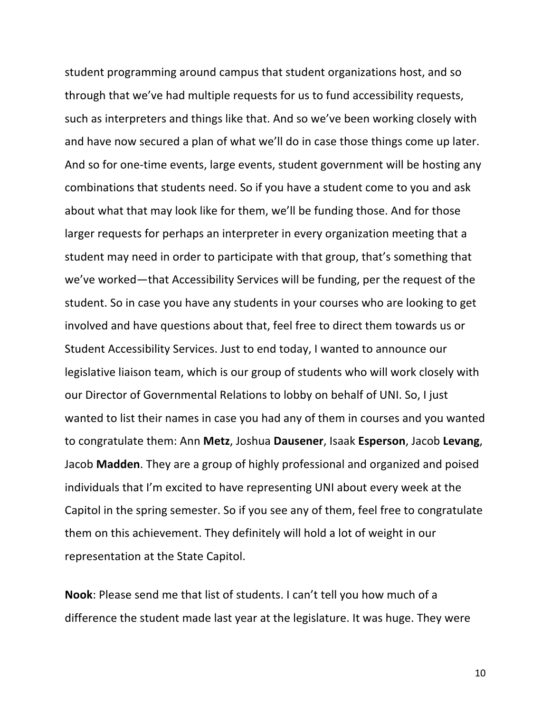student programming around campus that student organizations host, and so through that we've had multiple requests for us to fund accessibility requests, such as interpreters and things like that. And so we've been working closely with and have now secured a plan of what we'll do in case those things come up later. And so for one-time events, large events, student government will be hosting any combinations that students need. So if you have a student come to you and ask about what that may look like for them, we'll be funding those. And for those larger requests for perhaps an interpreter in every organization meeting that a student may need in order to participate with that group, that's something that we've worked—that Accessibility Services will be funding, per the request of the student. So in case you have any students in your courses who are looking to get involved and have questions about that, feel free to direct them towards us or Student Accessibility Services. Just to end today, I wanted to announce our legislative liaison team, which is our group of students who will work closely with our Director of Governmental Relations to lobby on behalf of UNI. So, I just wanted to list their names in case you had any of them in courses and you wanted to congratulate them: Ann Metz, Joshua Dausener, Isaak Esperson, Jacob Levang, Jacob **Madden**. They are a group of highly professional and organized and poised individuals that I'm excited to have representing UNI about every week at the Capitol in the spring semester. So if you see any of them, feel free to congratulate them on this achievement. They definitely will hold a lot of weight in our representation at the State Capitol.

**Nook**: Please send me that list of students. I can't tell you how much of a difference the student made last year at the legislature. It was huge. They were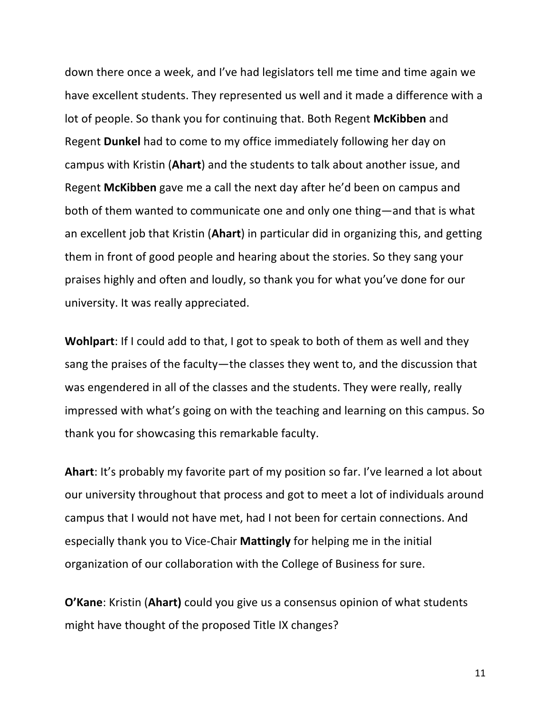down there once a week, and I've had legislators tell me time and time again we have excellent students. They represented us well and it made a difference with a lot of people. So thank you for continuing that. Both Regent McKibben and Regent **Dunkel** had to come to my office immediately following her day on campus with Kristin (Ahart) and the students to talk about another issue, and Regent **McKibben** gave me a call the next day after he'd been on campus and both of them wanted to communicate one and only one thing—and that is what an excellent job that Kristin (Ahart) in particular did in organizing this, and getting them in front of good people and hearing about the stories. So they sang your praises highly and often and loudly, so thank you for what you've done for our university. It was really appreciated.

**Wohlpart**: If I could add to that, I got to speak to both of them as well and they sang the praises of the faculty—the classes they went to, and the discussion that was engendered in all of the classes and the students. They were really, really impressed with what's going on with the teaching and learning on this campus. So thank you for showcasing this remarkable faculty.

**Ahart**: It's probably my favorite part of my position so far. I've learned a lot about our university throughout that process and got to meet a lot of individuals around campus that I would not have met, had I not been for certain connections. And especially thank you to Vice-Chair **Mattingly** for helping me in the initial organization of our collaboration with the College of Business for sure.

**O'Kane:** Kristin (Ahart) could you give us a consensus opinion of what students might have thought of the proposed Title IX changes?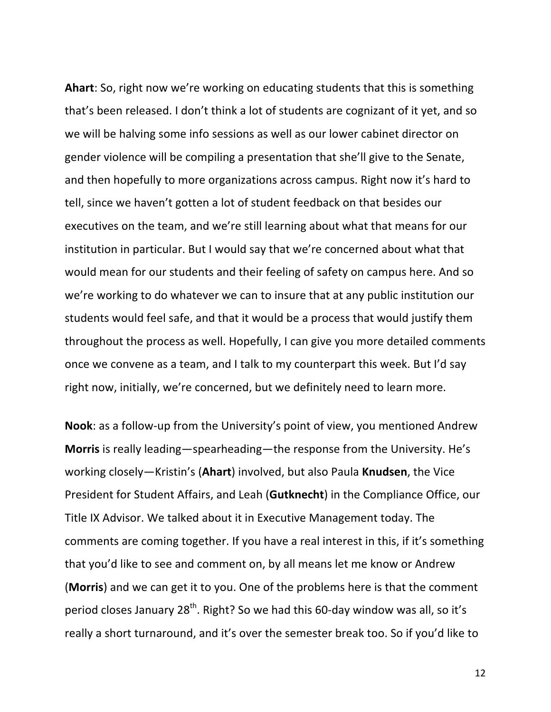**Ahart:** So, right now we're working on educating students that this is something that's been released. I don't think a lot of students are cognizant of it yet, and so we will be halving some info sessions as well as our lower cabinet director on gender violence will be compiling a presentation that she'll give to the Senate, and then hopefully to more organizations across campus. Right now it's hard to tell, since we haven't gotten a lot of student feedback on that besides our executives on the team, and we're still learning about what that means for our institution in particular. But I would say that we're concerned about what that would mean for our students and their feeling of safety on campus here. And so we're working to do whatever we can to insure that at any public institution our students would feel safe, and that it would be a process that would justify them throughout the process as well. Hopefully, I can give you more detailed comments once we convene as a team, and I talk to my counterpart this week. But I'd say right now, initially, we're concerned, but we definitely need to learn more.

**Nook**: as a follow-up from the University's point of view, you mentioned Andrew **Morris** is really leading—spearheading—the response from the University. He's working closely-Kristin's (Ahart) involved, but also Paula Knudsen, the Vice President for Student Affairs, and Leah (Gutknecht) in the Compliance Office, our Title IX Advisor. We talked about it in Executive Management today. The comments are coming together. If you have a real interest in this, if it's something that you'd like to see and comment on, by all means let me know or Andrew (Morris) and we can get it to you. One of the problems here is that the comment period closes January  $28^{th}$ . Right? So we had this 60-day window was all, so it's really a short turnaround, and it's over the semester break too. So if you'd like to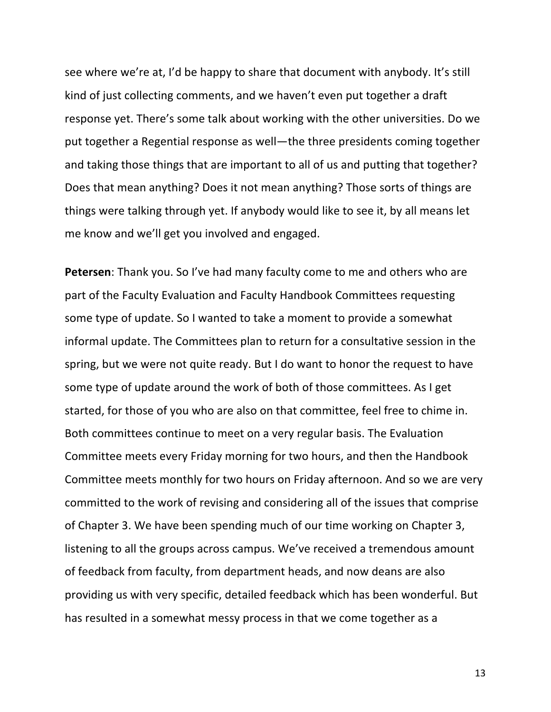see where we're at, I'd be happy to share that document with anybody. It's still kind of just collecting comments, and we haven't even put together a draft response yet. There's some talk about working with the other universities. Do we put together a Regential response as well—the three presidents coming together and taking those things that are important to all of us and putting that together? Does that mean anything? Does it not mean anything? Those sorts of things are things were talking through yet. If anybody would like to see it, by all means let me know and we'll get you involved and engaged.

**Petersen**: Thank you. So I've had many faculty come to me and others who are part of the Faculty Evaluation and Faculty Handbook Committees requesting some type of update. So I wanted to take a moment to provide a somewhat informal update. The Committees plan to return for a consultative session in the spring, but we were not quite ready. But I do want to honor the request to have some type of update around the work of both of those committees. As I get started, for those of you who are also on that committee, feel free to chime in. Both committees continue to meet on a very regular basis. The Evaluation Committee meets every Friday morning for two hours, and then the Handbook Committee meets monthly for two hours on Friday afternoon. And so we are very committed to the work of revising and considering all of the issues that comprise of Chapter 3. We have been spending much of our time working on Chapter 3, listening to all the groups across campus. We've received a tremendous amount of feedback from faculty, from department heads, and now deans are also providing us with very specific, detailed feedback which has been wonderful. But has resulted in a somewhat messy process in that we come together as a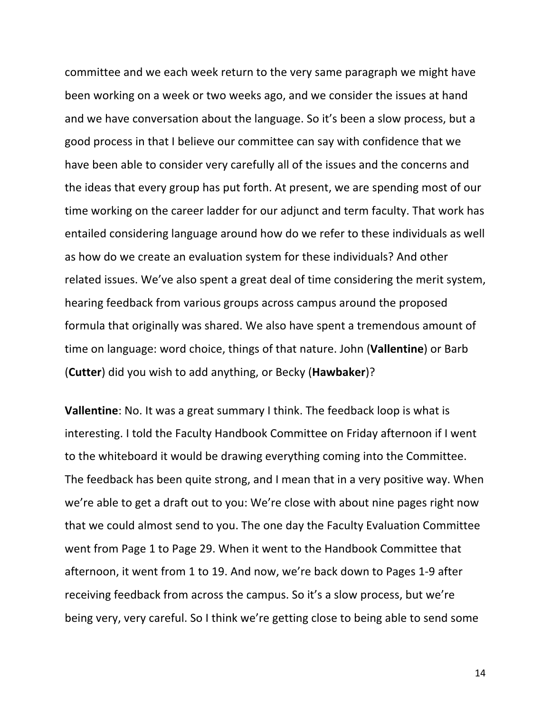committee and we each week return to the very same paragraph we might have been working on a week or two weeks ago, and we consider the issues at hand and we have conversation about the language. So it's been a slow process, but a good process in that I believe our committee can say with confidence that we have been able to consider very carefully all of the issues and the concerns and the ideas that every group has put forth. At present, we are spending most of our time working on the career ladder for our adjunct and term faculty. That work has entailed considering language around how do we refer to these individuals as well as how do we create an evaluation system for these individuals? And other related issues. We've also spent a great deal of time considering the merit system, hearing feedback from various groups across campus around the proposed formula that originally was shared. We also have spent a tremendous amount of time on language: word choice, things of that nature. John (**Vallentine**) or Barb **(Cutter)** did you wish to add anything, or Becky (**Hawbaker**)?

**Vallentine**: No. It was a great summary I think. The feedback loop is what is interesting. I told the Faculty Handbook Committee on Friday afternoon if I went to the whiteboard it would be drawing everything coming into the Committee. The feedback has been quite strong, and I mean that in a very positive way. When we're able to get a draft out to you: We're close with about nine pages right now that we could almost send to you. The one day the Faculty Evaluation Committee went from Page 1 to Page 29. When it went to the Handbook Committee that afternoon, it went from 1 to 19. And now, we're back down to Pages 1-9 after receiving feedback from across the campus. So it's a slow process, but we're being very, very careful. So I think we're getting close to being able to send some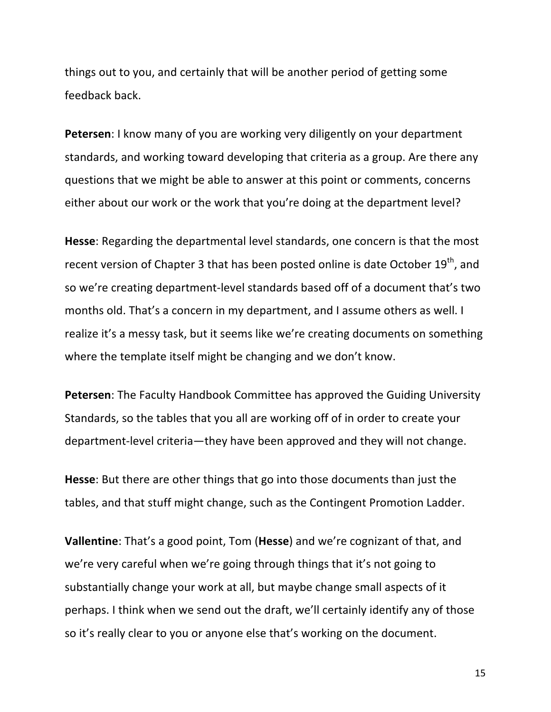things out to you, and certainly that will be another period of getting some feedback back.

**Petersen:** I know many of you are working very diligently on your department standards, and working toward developing that criteria as a group. Are there any questions that we might be able to answer at this point or comments, concerns either about our work or the work that you're doing at the department level?

**Hesse:** Regarding the departmental level standards, one concern is that the most recent version of Chapter 3 that has been posted online is date October 19<sup>th</sup>, and so we're creating department-level standards based off of a document that's two months old. That's a concern in my department, and I assume others as well. I realize it's a messy task, but it seems like we're creating documents on something where the template itself might be changing and we don't know.

**Petersen:** The Faculty Handbook Committee has approved the Guiding University Standards, so the tables that you all are working off of in order to create your department-level criteria—they have been approved and they will not change.

**Hesse**: But there are other things that go into those documents than just the tables, and that stuff might change, such as the Contingent Promotion Ladder.

**Vallentine**: That's a good point, Tom (Hesse) and we're cognizant of that, and we're very careful when we're going through things that it's not going to substantially change your work at all, but maybe change small aspects of it perhaps. I think when we send out the draft, we'll certainly identify any of those so it's really clear to you or anyone else that's working on the document.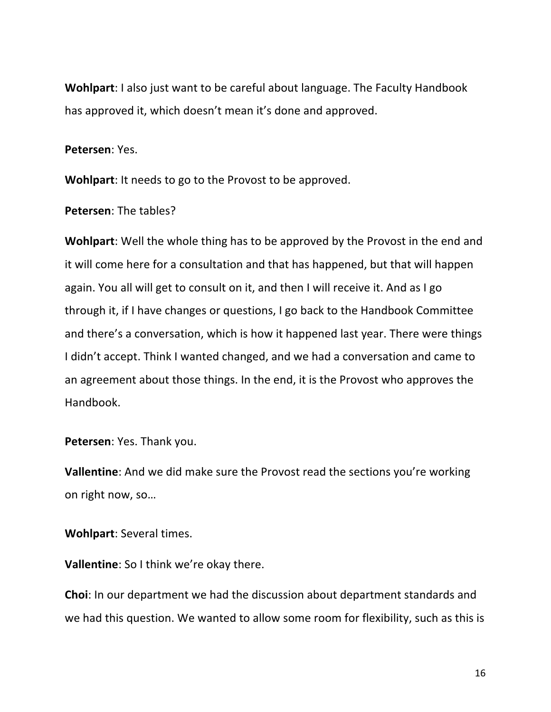**Wohlpart:** I also just want to be careful about language. The Faculty Handbook has approved it, which doesn't mean it's done and approved.

**Petersen: Yes.** 

**Wohlpart:** It needs to go to the Provost to be approved.

**Petersen:** The tables?

**Wohlpart:** Well the whole thing has to be approved by the Provost in the end and it will come here for a consultation and that has happened, but that will happen again. You all will get to consult on it, and then I will receive it. And as I go through it, if I have changes or questions, I go back to the Handbook Committee and there's a conversation, which is how it happened last year. There were things I didn't accept. Think I wanted changed, and we had a conversation and came to an agreement about those things. In the end, it is the Provost who approves the Handbook.

**Petersen:** Yes. Thank you.

**Vallentine**: And we did make sure the Provost read the sections you're working on right now, so...

**Wohlpart:** Several times.

**Vallentine:** So I think we're okay there.

**Choi**: In our department we had the discussion about department standards and we had this question. We wanted to allow some room for flexibility, such as this is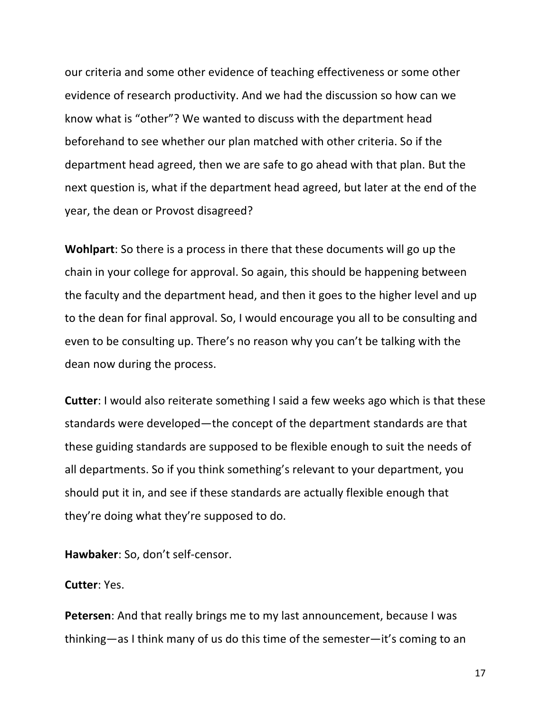our criteria and some other evidence of teaching effectiveness or some other evidence of research productivity. And we had the discussion so how can we know what is "other"? We wanted to discuss with the department head beforehand to see whether our plan matched with other criteria. So if the department head agreed, then we are safe to go ahead with that plan. But the next question is, what if the department head agreed, but later at the end of the year, the dean or Provost disagreed?

**Wohlpart**: So there is a process in there that these documents will go up the chain in your college for approval. So again, this should be happening between the faculty and the department head, and then it goes to the higher level and up to the dean for final approval. So, I would encourage you all to be consulting and even to be consulting up. There's no reason why you can't be talking with the dean now during the process.

**Cutter:** I would also reiterate something I said a few weeks ago which is that these standards were developed—the concept of the department standards are that these guiding standards are supposed to be flexible enough to suit the needs of all departments. So if you think something's relevant to your department, you should put it in, and see if these standards are actually flexible enough that they're doing what they're supposed to do.

Hawbaker: So, don't self-censor.

**Cutter**: Yes.

**Petersen:** And that really brings me to my last announcement, because I was thinking—as I think many of us do this time of the semester—it's coming to an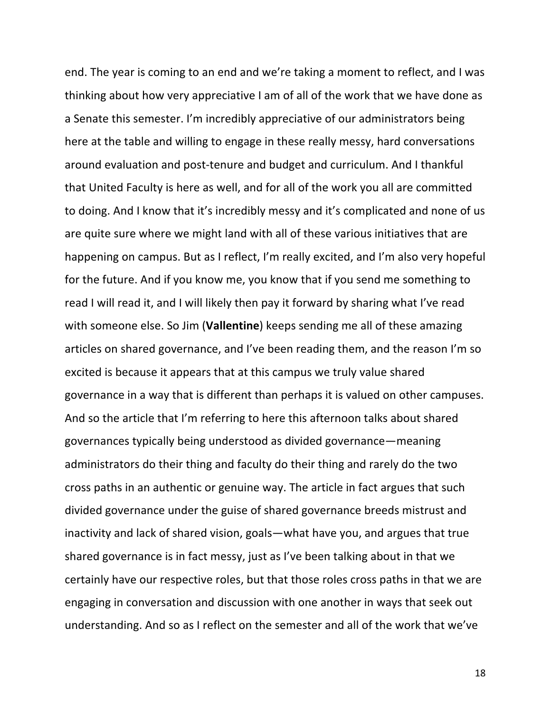end. The year is coming to an end and we're taking a moment to reflect, and I was thinking about how very appreciative I am of all of the work that we have done as a Senate this semester. I'm incredibly appreciative of our administrators being here at the table and willing to engage in these really messy, hard conversations around evaluation and post-tenure and budget and curriculum. And I thankful that United Faculty is here as well, and for all of the work you all are committed to doing. And I know that it's incredibly messy and it's complicated and none of us are quite sure where we might land with all of these various initiatives that are happening on campus. But as I reflect, I'm really excited, and I'm also very hopeful for the future. And if you know me, you know that if you send me something to read I will read it, and I will likely then pay it forward by sharing what I've read with someone else. So Jim (**Vallentine**) keeps sending me all of these amazing articles on shared governance, and I've been reading them, and the reason I'm so excited is because it appears that at this campus we truly value shared governance in a way that is different than perhaps it is valued on other campuses. And so the article that I'm referring to here this afternoon talks about shared governances typically being understood as divided governance—meaning administrators do their thing and faculty do their thing and rarely do the two cross paths in an authentic or genuine way. The article in fact argues that such divided governance under the guise of shared governance breeds mistrust and inactivity and lack of shared vision, goals—what have you, and argues that true shared governance is in fact messy, just as I've been talking about in that we certainly have our respective roles, but that those roles cross paths in that we are engaging in conversation and discussion with one another in ways that seek out understanding. And so as I reflect on the semester and all of the work that we've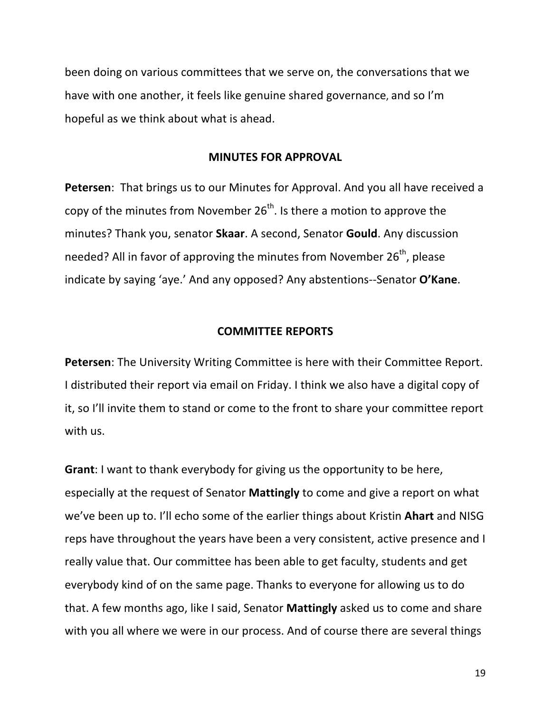been doing on various committees that we serve on, the conversations that we have with one another, it feels like genuine shared governance, and so I'm hopeful as we think about what is ahead.

#### **MINUTES FOR APPROVAL**

**Petersen:** That brings us to our Minutes for Approval. And you all have received a copy of the minutes from November  $26<sup>th</sup>$ . Is there a motion to approve the minutes? Thank you, senator **Skaar**. A second, Senator **Gould**. Any discussion needed? All in favor of approving the minutes from November  $26<sup>th</sup>$ , please indicate by saying 'aye.' And any opposed? Any abstentions--Senator O'Kane.

### **COMMITTEE REPORTS**

**Petersen:** The University Writing Committee is here with their Committee Report. I distributed their report via email on Friday. I think we also have a digital copy of it, so I'll invite them to stand or come to the front to share your committee report with us.

**Grant**: I want to thank everybody for giving us the opportunity to be here, especially at the request of Senator Mattingly to come and give a report on what we've been up to. I'll echo some of the earlier things about Kristin Ahart and NISG reps have throughout the years have been a very consistent, active presence and I really value that. Our committee has been able to get faculty, students and get everybody kind of on the same page. Thanks to everyone for allowing us to do that. A few months ago, like I said, Senator **Mattingly** asked us to come and share with you all where we were in our process. And of course there are several things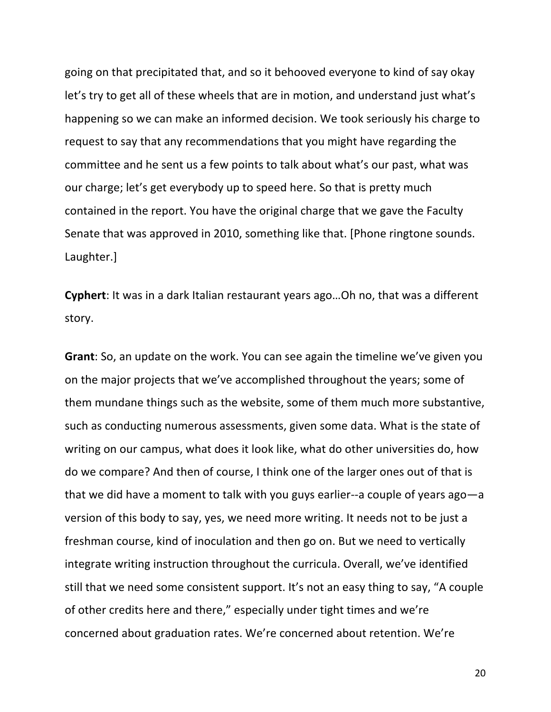going on that precipitated that, and so it behooved everyone to kind of say okay let's try to get all of these wheels that are in motion, and understand just what's happening so we can make an informed decision. We took seriously his charge to request to say that any recommendations that you might have regarding the committee and he sent us a few points to talk about what's our past, what was our charge; let's get everybody up to speed here. So that is pretty much contained in the report. You have the original charge that we gave the Faculty Senate that was approved in 2010, something like that. [Phone ringtone sounds. Laughter.]

**Cyphert**: It was in a dark Italian restaurant years ago...Oh no, that was a different story.

**Grant**: So, an update on the work. You can see again the timeline we've given you on the major projects that we've accomplished throughout the years; some of them mundane things such as the website, some of them much more substantive, such as conducting numerous assessments, given some data. What is the state of writing on our campus, what does it look like, what do other universities do, how do we compare? And then of course, I think one of the larger ones out of that is that we did have a moment to talk with you guys earlier--a couple of years ago—a version of this body to say, yes, we need more writing. It needs not to be just a freshman course, kind of inoculation and then go on. But we need to vertically integrate writing instruction throughout the curricula. Overall, we've identified still that we need some consistent support. It's not an easy thing to say, "A couple of other credits here and there," especially under tight times and we're concerned about graduation rates. We're concerned about retention. We're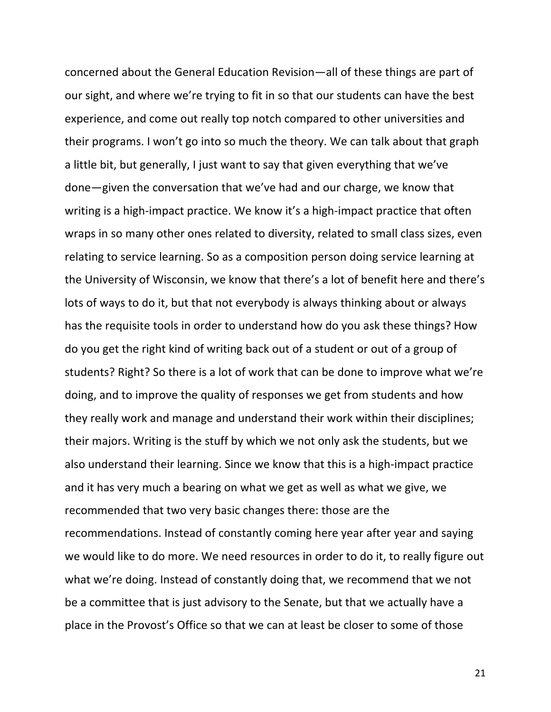concerned about the General Education Revision—all of these things are part of our sight, and where we're trying to fit in so that our students can have the best experience, and come out really top notch compared to other universities and their programs. I won't go into so much the theory. We can talk about that graph a little bit, but generally, I just want to say that given everything that we've done—given the conversation that we've had and our charge, we know that writing is a high-impact practice. We know it's a high-impact practice that often wraps in so many other ones related to diversity, related to small class sizes, even relating to service learning. So as a composition person doing service learning at the University of Wisconsin, we know that there's a lot of benefit here and there's lots of ways to do it, but that not everybody is always thinking about or always has the requisite tools in order to understand how do you ask these things? How do you get the right kind of writing back out of a student or out of a group of students? Right? So there is a lot of work that can be done to improve what we're doing, and to improve the quality of responses we get from students and how they really work and manage and understand their work within their disciplines; their majors. Writing is the stuff by which we not only ask the students, but we also understand their learning. Since we know that this is a high-impact practice and it has very much a bearing on what we get as well as what we give, we recommended that two very basic changes there: those are the recommendations. Instead of constantly coming here year after year and saying we would like to do more. We need resources in order to do it, to really figure out what we're doing. Instead of constantly doing that, we recommend that we not be a committee that is just advisory to the Senate, but that we actually have a place in the Provost's Office so that we can at least be closer to some of those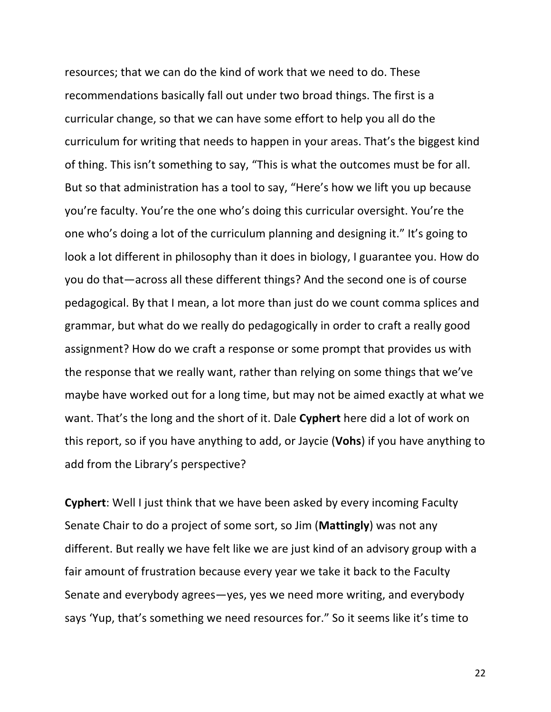resources; that we can do the kind of work that we need to do. These recommendations basically fall out under two broad things. The first is a curricular change, so that we can have some effort to help you all do the curriculum for writing that needs to happen in your areas. That's the biggest kind of thing. This isn't something to say, "This is what the outcomes must be for all. But so that administration has a tool to say, "Here's how we lift you up because you're faculty. You're the one who's doing this curricular oversight. You're the one who's doing a lot of the curriculum planning and designing it." It's going to look a lot different in philosophy than it does in biology, I guarantee you. How do you do that—across all these different things? And the second one is of course pedagogical. By that I mean, a lot more than just do we count comma splices and grammar, but what do we really do pedagogically in order to craft a really good assignment? How do we craft a response or some prompt that provides us with the response that we really want, rather than relying on some things that we've maybe have worked out for a long time, but may not be aimed exactly at what we want. That's the long and the short of it. Dale **Cyphert** here did a lot of work on this report, so if you have anything to add, or Jaycie (Vohs) if you have anything to add from the Library's perspective?

**Cyphert:** Well I just think that we have been asked by every incoming Faculty Senate Chair to do a project of some sort, so Jim (**Mattingly**) was not any different. But really we have felt like we are just kind of an advisory group with a fair amount of frustration because every year we take it back to the Faculty Senate and everybody agrees—yes, yes we need more writing, and everybody says 'Yup, that's something we need resources for." So it seems like it's time to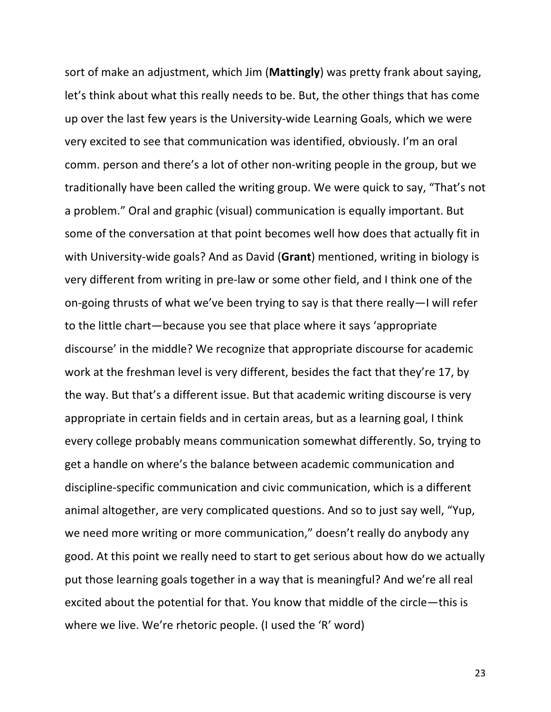sort of make an adjustment, which Jim (Mattingly) was pretty frank about saying, let's think about what this really needs to be. But, the other things that has come up over the last few years is the University-wide Learning Goals, which we were very excited to see that communication was identified, obviously. I'm an oral comm. person and there's a lot of other non-writing people in the group, but we traditionally have been called the writing group. We were quick to say, "That's not a problem." Oral and graphic (visual) communication is equally important. But some of the conversation at that point becomes well how does that actually fit in with University-wide goals? And as David (Grant) mentioned, writing in biology is very different from writing in pre-law or some other field, and I think one of the on-going thrusts of what we've been trying to say is that there really—I will refer to the little chart—because you see that place where it says 'appropriate discourse' in the middle? We recognize that appropriate discourse for academic work at the freshman level is very different, besides the fact that they're 17, by the way. But that's a different issue. But that academic writing discourse is very appropriate in certain fields and in certain areas, but as a learning goal, I think every college probably means communication somewhat differently. So, trying to get a handle on where's the balance between academic communication and discipline-specific communication and civic communication, which is a different animal altogether, are very complicated questions. And so to just say well, "Yup, we need more writing or more communication," doesn't really do anybody any good. At this point we really need to start to get serious about how do we actually put those learning goals together in a way that is meaningful? And we're all real excited about the potential for that. You know that middle of the circle—this is where we live. We're rhetoric people. (I used the 'R' word)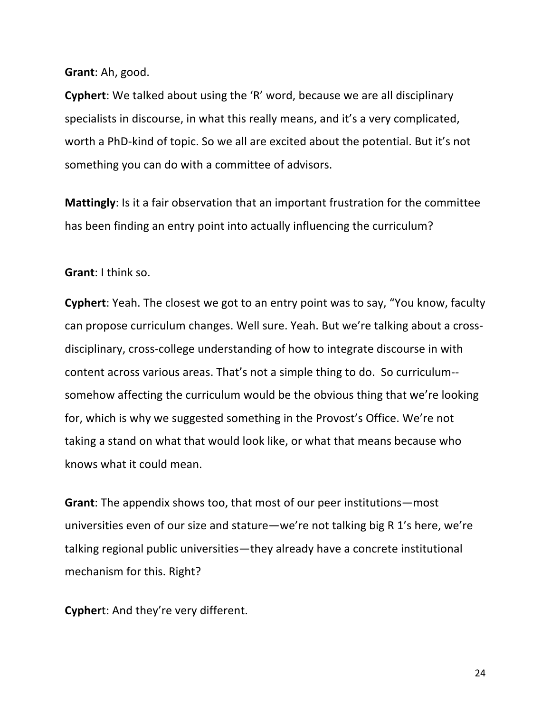**Grant**: Ah, good.

**Cyphert**: We talked about using the 'R' word, because we are all disciplinary specialists in discourse, in what this really means, and it's a very complicated, worth a PhD-kind of topic. So we all are excited about the potential. But it's not something you can do with a committee of advisors.

**Mattingly**: Is it a fair observation that an important frustration for the committee has been finding an entry point into actually influencing the curriculum?

**Grant:** I think so.

**Cyphert**: Yeah. The closest we got to an entry point was to say, "You know, faculty can propose curriculum changes. Well sure. Yeah. But we're talking about a crossdisciplinary, cross-college understanding of how to integrate discourse in with content across various areas. That's not a simple thing to do. So curriculum-somehow affecting the curriculum would be the obvious thing that we're looking for, which is why we suggested something in the Provost's Office. We're not taking a stand on what that would look like, or what that means because who knows what it could mean.

**Grant:** The appendix shows too, that most of our peer institutions—most universities even of our size and stature—we're not talking big R 1's here, we're talking regional public universities—they already have a concrete institutional mechanism for this. Right?

**Cyphert:** And they're very different.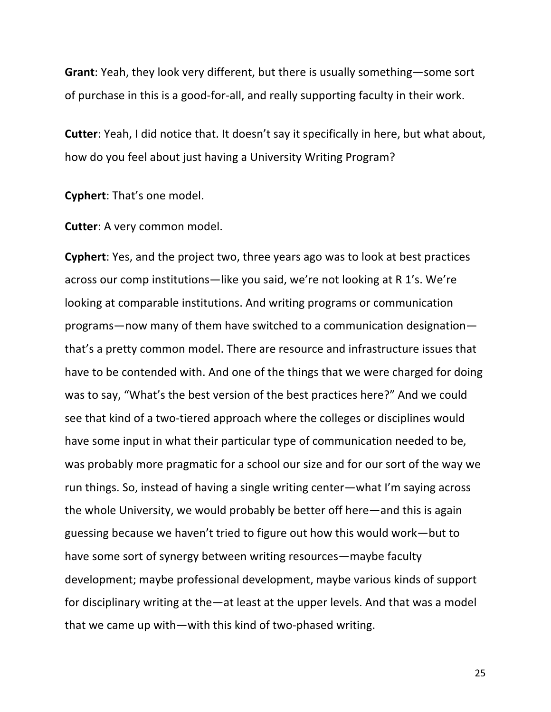**Grant:** Yeah, they look very different, but there is usually something—some sort of purchase in this is a good-for-all, and really supporting faculty in their work.

**Cutter:** Yeah, I did notice that. It doesn't say it specifically in here, but what about, how do you feel about just having a University Writing Program?

**Cyphert:** That's one model.

**Cutter:** A very common model.

**Cyphert**: Yes, and the project two, three years ago was to look at best practices across our comp institutions—like you said, we're not looking at R 1's. We're looking at comparable institutions. And writing programs or communication programs—now many of them have switched to a communication designation that's a pretty common model. There are resource and infrastructure issues that have to be contended with. And one of the things that we were charged for doing was to say, "What's the best version of the best practices here?" And we could see that kind of a two-tiered approach where the colleges or disciplines would have some input in what their particular type of communication needed to be, was probably more pragmatic for a school our size and for our sort of the way we run things. So, instead of having a single writing center—what I'm saying across the whole University, we would probably be better off here—and this is again guessing because we haven't tried to figure out how this would work—but to have some sort of synergy between writing resources—maybe faculty development; maybe professional development, maybe various kinds of support for disciplinary writing at the—at least at the upper levels. And that was a model that we came up with—with this kind of two-phased writing.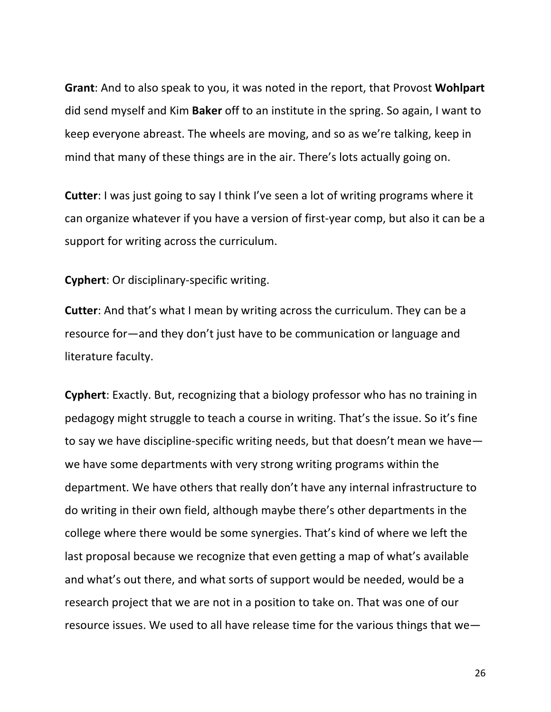**Grant:** And to also speak to you, it was noted in the report, that Provost **Wohlpart** did send myself and Kim **Baker** off to an institute in the spring. So again, I want to keep everyone abreast. The wheels are moving, and so as we're talking, keep in mind that many of these things are in the air. There's lots actually going on.

**Cutter**: I was just going to say I think I've seen a lot of writing programs where it can organize whatever if you have a version of first-year comp, but also it can be a support for writing across the curriculum.

**Cyphert**: Or disciplinary-specific writing.

**Cutter:** And that's what I mean by writing across the curriculum. They can be a resource for—and they don't just have to be communication or language and literature faculty.

**Cyphert**: Exactly. But, recognizing that a biology professor who has no training in pedagogy might struggle to teach a course in writing. That's the issue. So it's fine to say we have discipline-specific writing needs, but that doesn't mean we have we have some departments with very strong writing programs within the department. We have others that really don't have any internal infrastructure to do writing in their own field, although maybe there's other departments in the college where there would be some synergies. That's kind of where we left the last proposal because we recognize that even getting a map of what's available and what's out there, and what sorts of support would be needed, would be a research project that we are not in a position to take on. That was one of our resource issues. We used to all have release time for the various things that we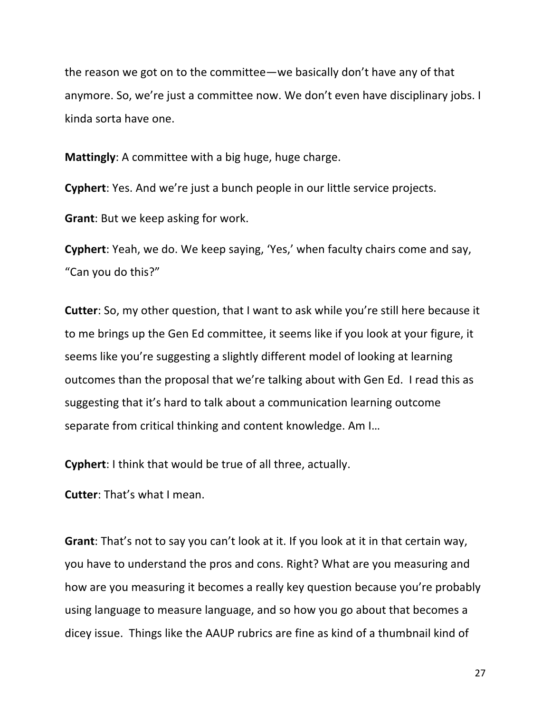the reason we got on to the committee—we basically don't have any of that anymore. So, we're just a committee now. We don't even have disciplinary jobs. I kinda sorta have one.

**Mattingly:** A committee with a big huge, huge charge.

**Cyphert**: Yes. And we're just a bunch people in our little service projects.

**Grant:** But we keep asking for work.

**Cyphert:** Yeah, we do. We keep saying, 'Yes,' when faculty chairs come and say, "Can you do this?"

**Cutter**: So, my other question, that I want to ask while you're still here because it to me brings up the Gen Ed committee, it seems like if you look at your figure, it seems like you're suggesting a slightly different model of looking at learning outcomes than the proposal that we're talking about with Gen Ed. I read this as suggesting that it's hard to talk about a communication learning outcome separate from critical thinking and content knowledge. Am I...

**Cyphert:** I think that would be true of all three, actually.

**Cutter:** That's what I mean.

**Grant**: That's not to say you can't look at it. If you look at it in that certain way, you have to understand the pros and cons. Right? What are you measuring and how are you measuring it becomes a really key question because you're probably using language to measure language, and so how you go about that becomes a dicey issue. Things like the AAUP rubrics are fine as kind of a thumbnail kind of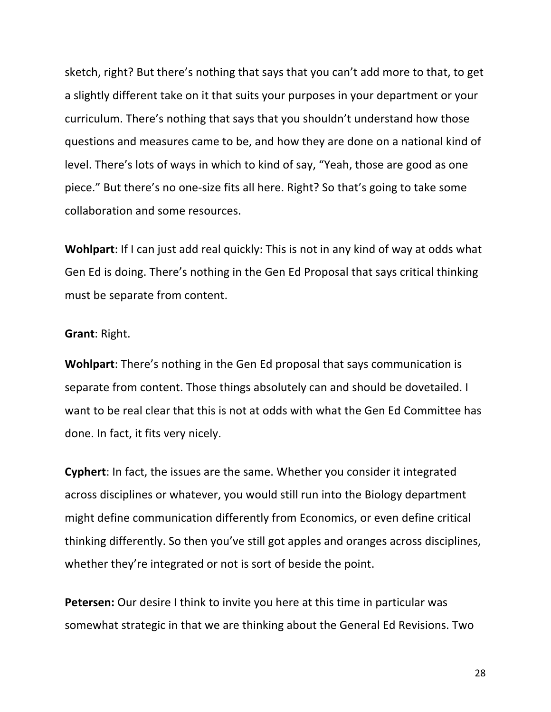sketch, right? But there's nothing that says that you can't add more to that, to get a slightly different take on it that suits your purposes in your department or your curriculum. There's nothing that says that you shouldn't understand how those questions and measures came to be, and how they are done on a national kind of level. There's lots of ways in which to kind of say, "Yeah, those are good as one piece." But there's no one-size fits all here. Right? So that's going to take some collaboration and some resources.

**Wohlpart**: If I can just add real quickly: This is not in any kind of way at odds what Gen Ed is doing. There's nothing in the Gen Ed Proposal that says critical thinking must be separate from content.

#### **Grant: Right.**

**Wohlpart:** There's nothing in the Gen Ed proposal that says communication is separate from content. Those things absolutely can and should be dovetailed. I want to be real clear that this is not at odds with what the Gen Ed Committee has done. In fact, it fits very nicely.

**Cyphert**: In fact, the issues are the same. Whether you consider it integrated across disciplines or whatever, you would still run into the Biology department might define communication differently from Economics, or even define critical thinking differently. So then you've still got apples and oranges across disciplines, whether they're integrated or not is sort of beside the point.

**Petersen:** Our desire I think to invite you here at this time in particular was somewhat strategic in that we are thinking about the General Ed Revisions. Two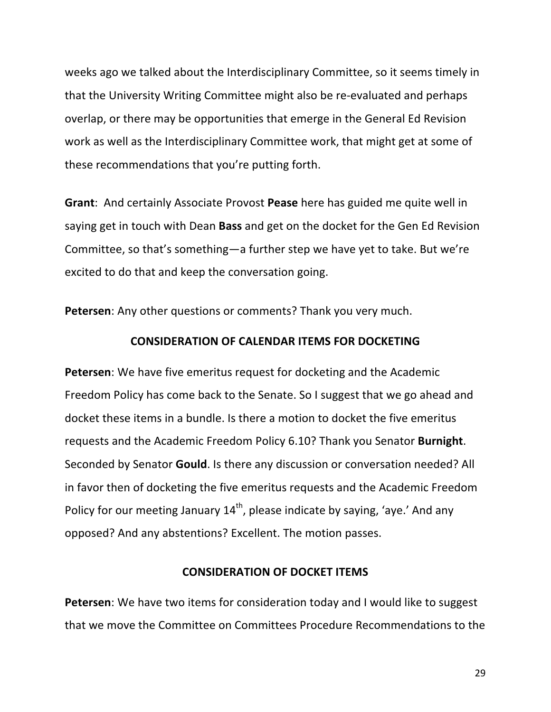weeks ago we talked about the Interdisciplinary Committee, so it seems timely in that the University Writing Committee might also be re-evaluated and perhaps overlap, or there may be opportunities that emerge in the General Ed Revision work as well as the Interdisciplinary Committee work, that might get at some of these recommendations that you're putting forth.

**Grant:** And certainly Associate Provost **Pease** here has guided me quite well in saying get in touch with Dean **Bass** and get on the docket for the Gen Ed Revision Committee, so that's something—a further step we have yet to take. But we're excited to do that and keep the conversation going.

**Petersen:** Any other questions or comments? Thank you very much.

### **CONSIDERATION OF CALENDAR ITEMS FOR DOCKETING**

**Petersen:** We have five emeritus request for docketing and the Academic Freedom Policy has come back to the Senate. So I suggest that we go ahead and docket these items in a bundle. Is there a motion to docket the five emeritus requests and the Academic Freedom Policy 6.10? Thank you Senator **Burnight**. Seconded by Senator **Gould**. Is there any discussion or conversation needed? All in favor then of docketing the five emeritus requests and the Academic Freedom Policy for our meeting January  $14<sup>th</sup>$ , please indicate by saying, 'aye.' And any opposed? And any abstentions? Excellent. The motion passes.

#### **CONSIDERATION OF DOCKET ITEMS**

**Petersen**: We have two items for consideration today and I would like to suggest that we move the Committee on Committees Procedure Recommendations to the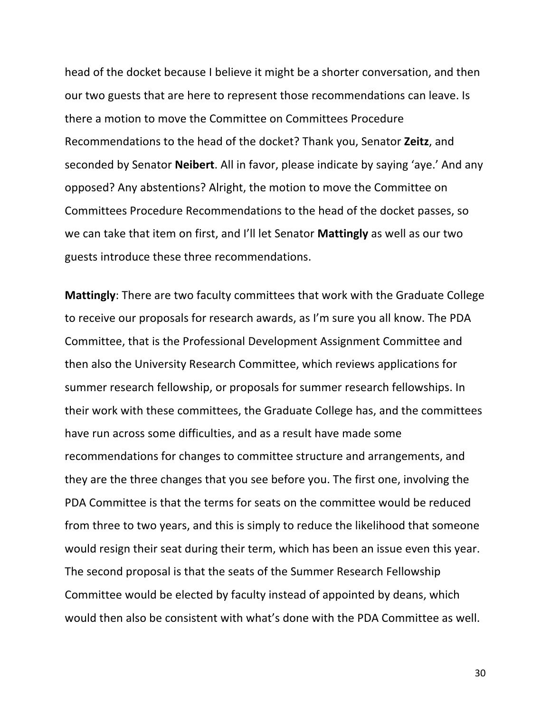head of the docket because I believe it might be a shorter conversation, and then our two guests that are here to represent those recommendations can leave. Is there a motion to move the Committee on Committees Procedure Recommendations to the head of the docket? Thank you, Senator Zeitz, and seconded by Senator **Neibert**. All in favor, please indicate by saying 'aye.' And any opposed? Any abstentions? Alright, the motion to move the Committee on Committees Procedure Recommendations to the head of the docket passes, so we can take that item on first, and I'll let Senator **Mattingly** as well as our two guests introduce these three recommendations.

**Mattingly**: There are two faculty committees that work with the Graduate College to receive our proposals for research awards, as I'm sure you all know. The PDA Committee, that is the Professional Development Assignment Committee and then also the University Research Committee, which reviews applications for summer research fellowship, or proposals for summer research fellowships. In their work with these committees, the Graduate College has, and the committees have run across some difficulties, and as a result have made some recommendations for changes to committee structure and arrangements, and they are the three changes that you see before you. The first one, involving the PDA Committee is that the terms for seats on the committee would be reduced from three to two years, and this is simply to reduce the likelihood that someone would resign their seat during their term, which has been an issue even this year. The second proposal is that the seats of the Summer Research Fellowship Committee would be elected by faculty instead of appointed by deans, which would then also be consistent with what's done with the PDA Committee as well.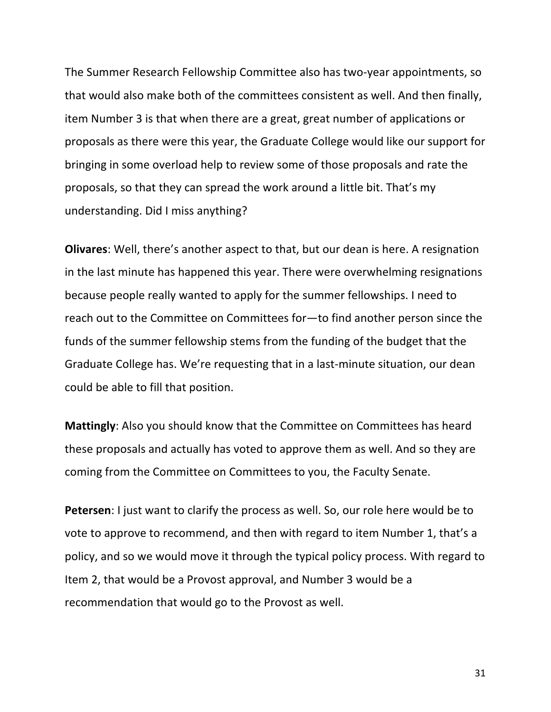The Summer Research Fellowship Committee also has two-year appointments, so that would also make both of the committees consistent as well. And then finally, item Number 3 is that when there are a great, great number of applications or proposals as there were this year, the Graduate College would like our support for bringing in some overload help to review some of those proposals and rate the proposals, so that they can spread the work around a little bit. That's my understanding. Did I miss anything?

**Olivares:** Well, there's another aspect to that, but our dean is here. A resignation in the last minute has happened this year. There were overwhelming resignations because people really wanted to apply for the summer fellowships. I need to reach out to the Committee on Committees for-to find another person since the funds of the summer fellowship stems from the funding of the budget that the Graduate College has. We're requesting that in a last-minute situation, our dean could be able to fill that position.

**Mattingly:** Also you should know that the Committee on Committees has heard these proposals and actually has voted to approve them as well. And so they are coming from the Committee on Committees to you, the Faculty Senate.

**Petersen**: I just want to clarify the process as well. So, our role here would be to vote to approve to recommend, and then with regard to item Number 1, that's a policy, and so we would move it through the typical policy process. With regard to Item 2, that would be a Provost approval, and Number 3 would be a recommendation that would go to the Provost as well.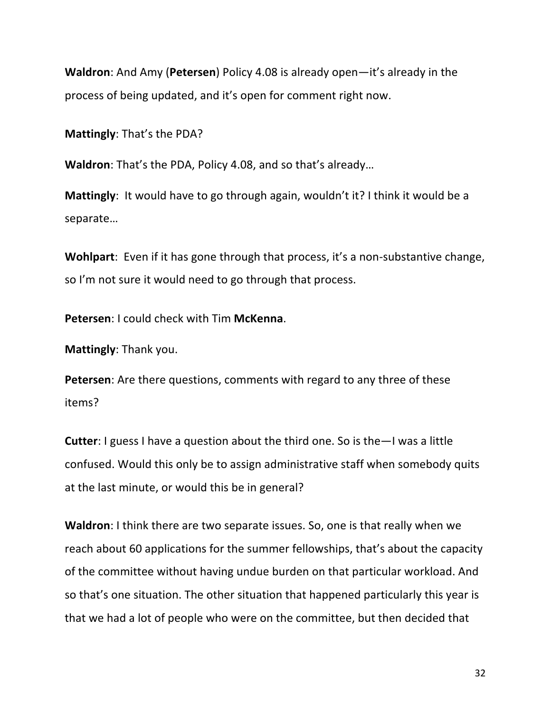**Waldron:** And Amy (Petersen) Policy 4.08 is already open—it's already in the process of being updated, and it's open for comment right now.

**Mattingly:** That's the PDA?

**Waldron**: That's the PDA, Policy 4.08, and so that's already...

**Mattingly**: It would have to go through again, wouldn't it? I think it would be a separate…

**Wohlpart**: Even if it has gone through that process, it's a non-substantive change, so I'm not sure it would need to go through that process.

**Petersen:** I could check with Tim McKenna.

**Mattingly:** Thank you.

**Petersen**: Are there questions, comments with regard to any three of these items?

**Cutter:** I guess I have a question about the third one. So is the—I was a little confused. Would this only be to assign administrative staff when somebody quits at the last minute, or would this be in general?

**Waldron**: I think there are two separate issues. So, one is that really when we reach about 60 applications for the summer fellowships, that's about the capacity of the committee without having undue burden on that particular workload. And so that's one situation. The other situation that happened particularly this year is that we had a lot of people who were on the committee, but then decided that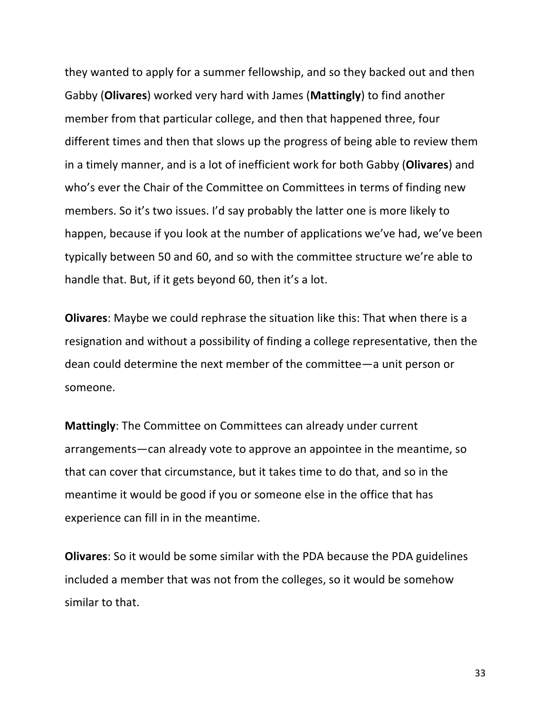they wanted to apply for a summer fellowship, and so they backed out and then Gabby (**Olivares**) worked very hard with James (Mattingly) to find another member from that particular college, and then that happened three, four different times and then that slows up the progress of being able to review them in a timely manner, and is a lot of inefficient work for both Gabby (**Olivares**) and who's ever the Chair of the Committee on Committees in terms of finding new members. So it's two issues. I'd say probably the latter one is more likely to happen, because if you look at the number of applications we've had, we've been typically between 50 and 60, and so with the committee structure we're able to handle that. But, if it gets beyond 60, then it's a lot.

**Olivares**: Maybe we could rephrase the situation like this: That when there is a resignation and without a possibility of finding a college representative, then the dean could determine the next member of the committee—a unit person or someone.

**Mattingly:** The Committee on Committees can already under current arrangements—can already vote to approve an appointee in the meantime, so that can cover that circumstance, but it takes time to do that, and so in the meantime it would be good if you or someone else in the office that has experience can fill in in the meantime.

**Olivares:** So it would be some similar with the PDA because the PDA guidelines included a member that was not from the colleges, so it would be somehow similar to that.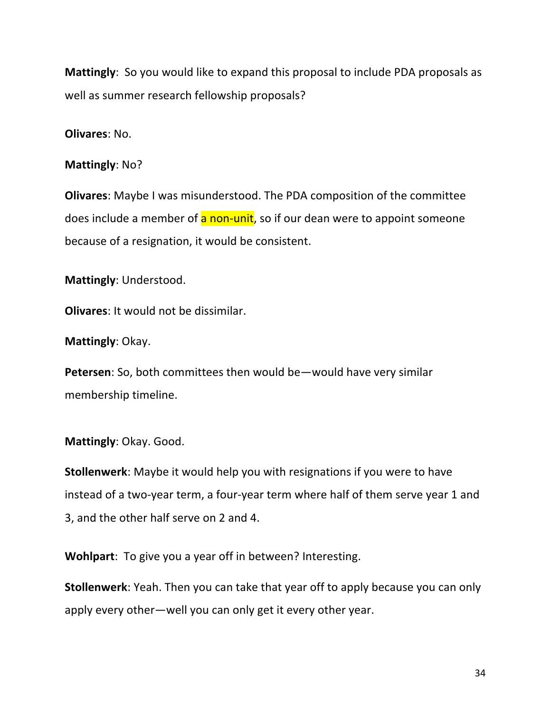**Mattingly**: So you would like to expand this proposal to include PDA proposals as well as summer research fellowship proposals?

**Olivares:** No.

**Mattingly:** No?

**Olivares:** Maybe I was misunderstood. The PDA composition of the committee does include a member of a non-unit, so if our dean were to appoint someone because of a resignation, it would be consistent.

**Mattingly:** Understood.

**Olivares:** It would not be dissimilar.

**Mattingly: Okay.** 

**Petersen**: So, both committees then would be—would have very similar membership timeline.

## **Mattingly: Okay. Good.**

**Stollenwerk**: Maybe it would help you with resignations if you were to have instead of a two-year term, a four-year term where half of them serve year 1 and 3, and the other half serve on 2 and 4.

**Wohlpart**: To give you a year off in between? Interesting.

**Stollenwerk**: Yeah. Then you can take that year off to apply because you can only apply every other—well you can only get it every other year.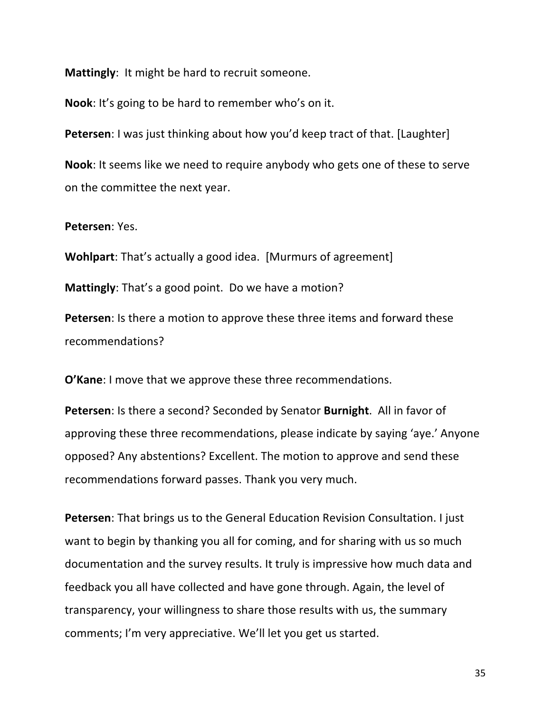**Mattingly:** It might be hard to recruit someone.

**Nook**: It's going to be hard to remember who's on it.

**Petersen**: I was just thinking about how you'd keep tract of that. [Laughter] **Nook**: It seems like we need to require anybody who gets one of these to serve on the committee the next year.

**Petersen**: Yes.

**Wohlpart:** That's actually a good idea. [Murmurs of agreement]

**Mattingly:** That's a good point. Do we have a motion?

**Petersen:** Is there a motion to approve these three items and forward these recommendations? 

**O'Kane**: I move that we approve these three recommendations.

**Petersen:** Is there a second? Seconded by Senator **Burnight**. All in favor of approving these three recommendations, please indicate by saying 'aye.' Anyone opposed? Any abstentions? Excellent. The motion to approve and send these recommendations forward passes. Thank you very much.

**Petersen**: That brings us to the General Education Revision Consultation. I just want to begin by thanking you all for coming, and for sharing with us so much documentation and the survey results. It truly is impressive how much data and feedback you all have collected and have gone through. Again, the level of transparency, your willingness to share those results with us, the summary comments; I'm very appreciative. We'll let you get us started.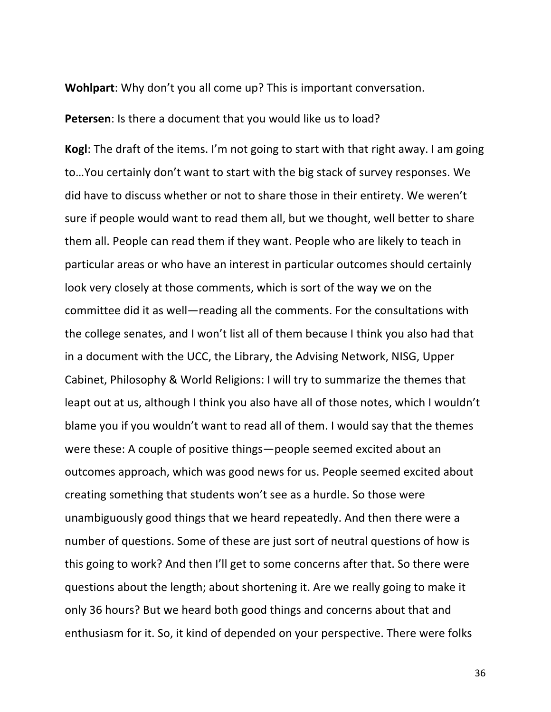**Wohlpart:** Why don't you all come up? This is important conversation.

**Petersen:** Is there a document that you would like us to load?

**Kogl**: The draft of the items. I'm not going to start with that right away. I am going to... You certainly don't want to start with the big stack of survey responses. We did have to discuss whether or not to share those in their entirety. We weren't sure if people would want to read them all, but we thought, well better to share them all. People can read them if they want. People who are likely to teach in particular areas or who have an interest in particular outcomes should certainly look very closely at those comments, which is sort of the way we on the committee did it as well—reading all the comments. For the consultations with the college senates, and I won't list all of them because I think you also had that in a document with the UCC, the Library, the Advising Network, NISG, Upper Cabinet, Philosophy & World Religions: I will try to summarize the themes that leapt out at us, although I think you also have all of those notes, which I wouldn't blame you if you wouldn't want to read all of them. I would say that the themes were these: A couple of positive things—people seemed excited about an outcomes approach, which was good news for us. People seemed excited about creating something that students won't see as a hurdle. So those were unambiguously good things that we heard repeatedly. And then there were a number of questions. Some of these are just sort of neutral questions of how is this going to work? And then I'll get to some concerns after that. So there were questions about the length; about shortening it. Are we really going to make it only 36 hours? But we heard both good things and concerns about that and enthusiasm for it. So, it kind of depended on your perspective. There were folks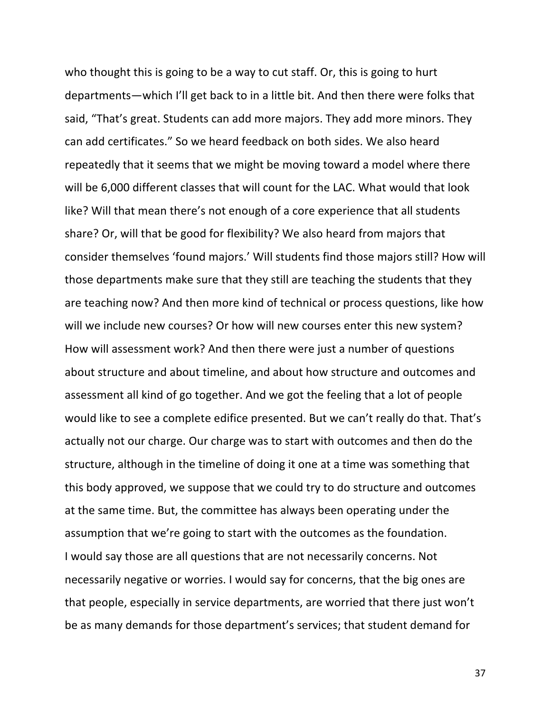who thought this is going to be a way to cut staff. Or, this is going to hurt departments—which I'll get back to in a little bit. And then there were folks that said, "That's great. Students can add more majors. They add more minors. They can add certificates." So we heard feedback on both sides. We also heard repeatedly that it seems that we might be moving toward a model where there will be 6,000 different classes that will count for the LAC. What would that look like? Will that mean there's not enough of a core experience that all students share? Or, will that be good for flexibility? We also heard from majors that consider themselves 'found majors.' Will students find those majors still? How will those departments make sure that they still are teaching the students that they are teaching now? And then more kind of technical or process questions, like how will we include new courses? Or how will new courses enter this new system? How will assessment work? And then there were just a number of questions about structure and about timeline, and about how structure and outcomes and assessment all kind of go together. And we got the feeling that a lot of people would like to see a complete edifice presented. But we can't really do that. That's actually not our charge. Our charge was to start with outcomes and then do the structure, although in the timeline of doing it one at a time was something that this body approved, we suppose that we could try to do structure and outcomes at the same time. But, the committee has always been operating under the assumption that we're going to start with the outcomes as the foundation. I would say those are all questions that are not necessarily concerns. Not necessarily negative or worries. I would say for concerns, that the big ones are that people, especially in service departments, are worried that there just won't be as many demands for those department's services; that student demand for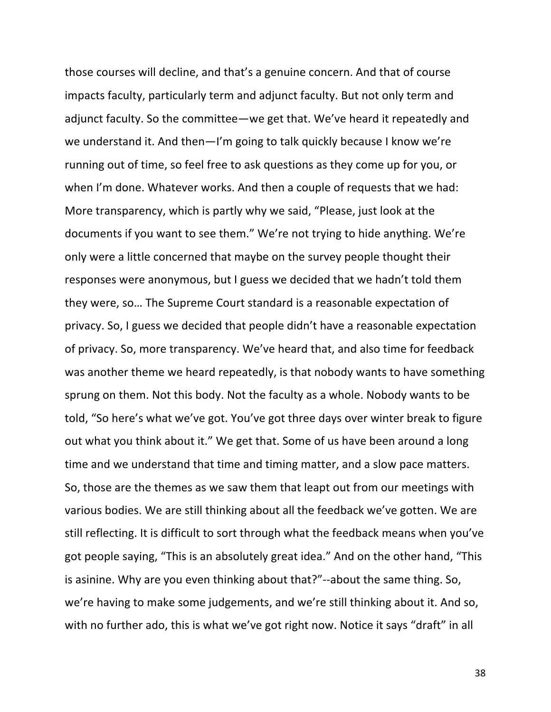those courses will decline, and that's a genuine concern. And that of course impacts faculty, particularly term and adjunct faculty. But not only term and adjunct faculty. So the committee—we get that. We've heard it repeatedly and we understand it. And then-I'm going to talk quickly because I know we're running out of time, so feel free to ask questions as they come up for you, or when I'm done. Whatever works. And then a couple of requests that we had: More transparency, which is partly why we said, "Please, just look at the documents if you want to see them." We're not trying to hide anything. We're only were a little concerned that maybe on the survey people thought their responses were anonymous, but I guess we decided that we hadn't told them they were, so... The Supreme Court standard is a reasonable expectation of privacy. So, I guess we decided that people didn't have a reasonable expectation of privacy. So, more transparency. We've heard that, and also time for feedback was another theme we heard repeatedly, is that nobody wants to have something sprung on them. Not this body. Not the faculty as a whole. Nobody wants to be told, "So here's what we've got. You've got three days over winter break to figure out what you think about it." We get that. Some of us have been around a long time and we understand that time and timing matter, and a slow pace matters. So, those are the themes as we saw them that leapt out from our meetings with various bodies. We are still thinking about all the feedback we've gotten. We are still reflecting. It is difficult to sort through what the feedback means when you've got people saying, "This is an absolutely great idea." And on the other hand, "This is asinine. Why are you even thinking about that?"--about the same thing. So, we're having to make some judgements, and we're still thinking about it. And so, with no further ado, this is what we've got right now. Notice it says "draft" in all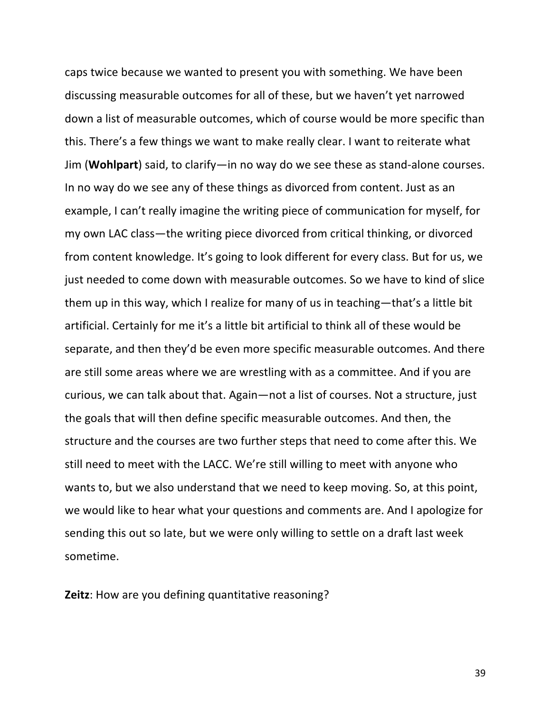caps twice because we wanted to present you with something. We have been discussing measurable outcomes for all of these, but we haven't yet narrowed down a list of measurable outcomes, which of course would be more specific than this. There's a few things we want to make really clear. I want to reiterate what Jim (**Wohlpart**) said, to clarify—in no way do we see these as stand-alone courses. In no way do we see any of these things as divorced from content. Just as an example, I can't really imagine the writing piece of communication for myself, for my own LAC class—the writing piece divorced from critical thinking, or divorced from content knowledge. It's going to look different for every class. But for us, we just needed to come down with measurable outcomes. So we have to kind of slice them up in this way, which I realize for many of us in teaching—that's a little bit artificial. Certainly for me it's a little bit artificial to think all of these would be separate, and then they'd be even more specific measurable outcomes. And there are still some areas where we are wrestling with as a committee. And if you are curious, we can talk about that. Again—not a list of courses. Not a structure, just the goals that will then define specific measurable outcomes. And then, the structure and the courses are two further steps that need to come after this. We still need to meet with the LACC. We're still willing to meet with anyone who wants to, but we also understand that we need to keep moving. So, at this point, we would like to hear what your questions and comments are. And I apologize for sending this out so late, but we were only willing to settle on a draft last week sometime.

**Zeitz**: How are you defining quantitative reasoning?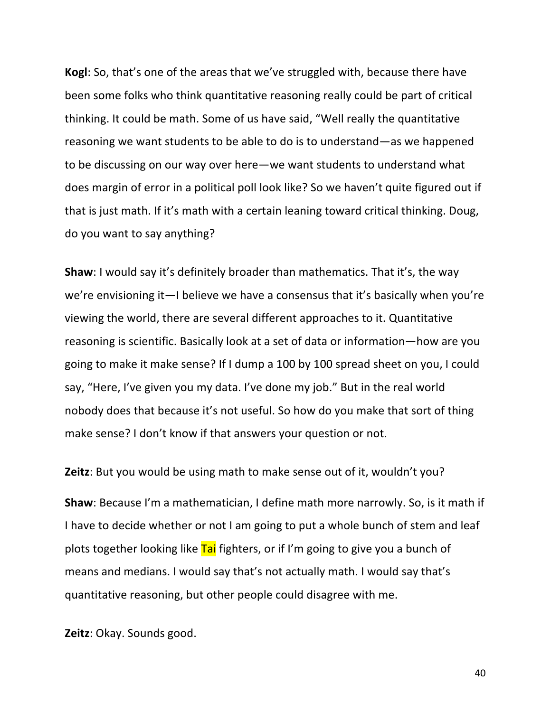**Kogl:** So, that's one of the areas that we've struggled with, because there have been some folks who think quantitative reasoning really could be part of critical thinking. It could be math. Some of us have said, "Well really the quantitative reasoning we want students to be able to do is to understand—as we happened to be discussing on our way over here—we want students to understand what does margin of error in a political poll look like? So we haven't quite figured out if that is just math. If it's math with a certain leaning toward critical thinking. Doug, do you want to say anything?

**Shaw**: I would say it's definitely broader than mathematics. That it's, the way we're envisioning it—I believe we have a consensus that it's basically when you're viewing the world, there are several different approaches to it. Quantitative reasoning is scientific. Basically look at a set of data or information—how are you going to make it make sense? If I dump a 100 by 100 spread sheet on you, I could say, "Here, I've given you my data. I've done my job." But in the real world nobody does that because it's not useful. So how do you make that sort of thing make sense? I don't know if that answers your question or not.

**Zeitz**: But you would be using math to make sense out of it, wouldn't you?

**Shaw**: Because I'm a mathematician, I define math more narrowly. So, is it math if I have to decide whether or not I am going to put a whole bunch of stem and leaf plots together looking like Tai fighters, or if I'm going to give you a bunch of means and medians. I would say that's not actually math. I would say that's quantitative reasoning, but other people could disagree with me.

**Zeitz**: Okay. Sounds good.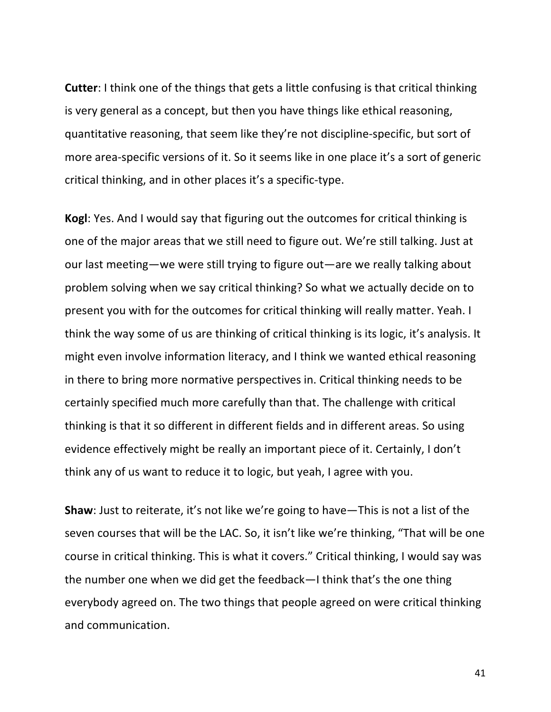**Cutter**: I think one of the things that gets a little confusing is that critical thinking is very general as a concept, but then you have things like ethical reasoning, quantitative reasoning, that seem like they're not discipline-specific, but sort of more area-specific versions of it. So it seems like in one place it's a sort of generic critical thinking, and in other places it's a specific-type.

**Kogl:** Yes. And I would say that figuring out the outcomes for critical thinking is one of the major areas that we still need to figure out. We're still talking. Just at our last meeting—we were still trying to figure out—are we really talking about problem solving when we say critical thinking? So what we actually decide on to present you with for the outcomes for critical thinking will really matter. Yeah. I think the way some of us are thinking of critical thinking is its logic, it's analysis. It might even involve information literacy, and I think we wanted ethical reasoning in there to bring more normative perspectives in. Critical thinking needs to be certainly specified much more carefully than that. The challenge with critical thinking is that it so different in different fields and in different areas. So using evidence effectively might be really an important piece of it. Certainly, I don't think any of us want to reduce it to logic, but yeah, I agree with you.

**Shaw**: Just to reiterate, it's not like we're going to have—This is not a list of the seven courses that will be the LAC. So, it isn't like we're thinking, "That will be one course in critical thinking. This is what it covers." Critical thinking, I would say was the number one when we did get the feedback—I think that's the one thing everybody agreed on. The two things that people agreed on were critical thinking and communication.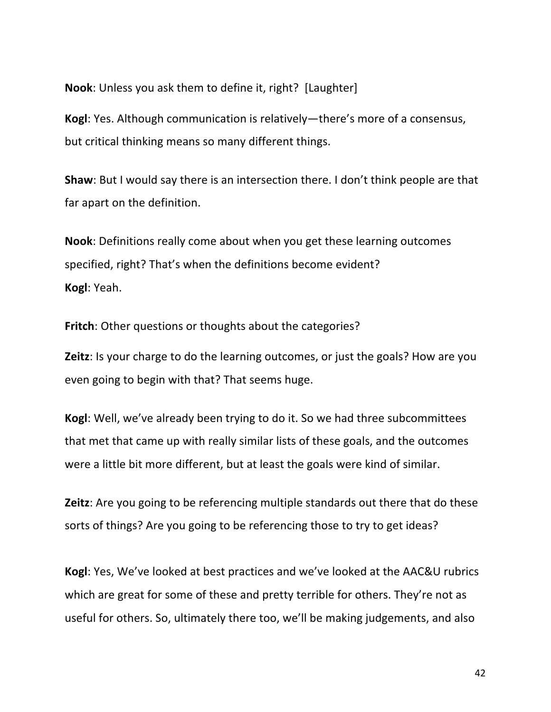**Nook:** Unless you ask them to define it, right? [Laughter]

**Kogl:** Yes. Although communication is relatively—there's more of a consensus, but critical thinking means so many different things.

**Shaw**: But I would say there is an intersection there. I don't think people are that far apart on the definition.

**Nook:** Definitions really come about when you get these learning outcomes specified, right? That's when the definitions become evident? **Kogl**: Yeah.

**Fritch:** Other questions or thoughts about the categories?

**Zeitz**: Is your charge to do the learning outcomes, or just the goals? How are you even going to begin with that? That seems huge.

**Kogl:** Well, we've already been trying to do it. So we had three subcommittees that met that came up with really similar lists of these goals, and the outcomes were a little bit more different, but at least the goals were kind of similar.

**Zeitz**: Are you going to be referencing multiple standards out there that do these sorts of things? Are you going to be referencing those to try to get ideas?

**Kogl:** Yes, We've looked at best practices and we've looked at the AAC&U rubrics which are great for some of these and pretty terrible for others. They're not as useful for others. So, ultimately there too, we'll be making judgements, and also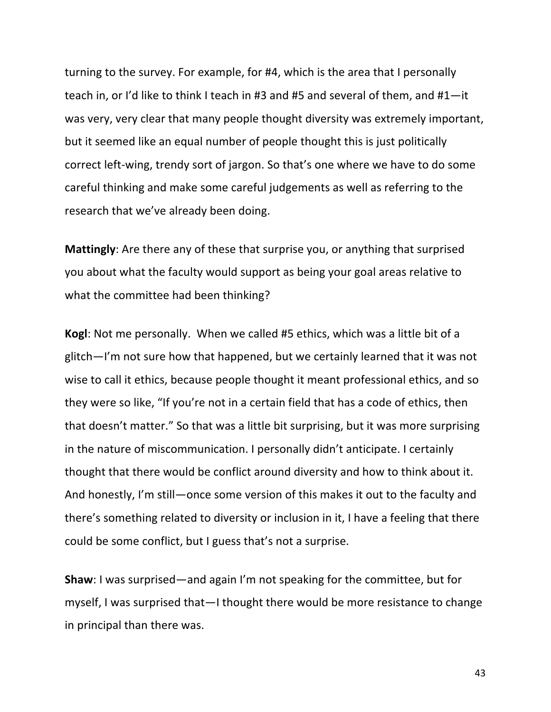turning to the survey. For example, for #4, which is the area that I personally teach in, or I'd like to think I teach in #3 and #5 and several of them, and  $#1$ —it was very, very clear that many people thought diversity was extremely important, but it seemed like an equal number of people thought this is just politically correct left-wing, trendy sort of jargon. So that's one where we have to do some careful thinking and make some careful judgements as well as referring to the research that we've already been doing.

**Mattingly**: Are there any of these that surprise you, or anything that surprised you about what the faculty would support as being your goal areas relative to what the committee had been thinking?

**Kogl:** Not me personally. When we called #5 ethics, which was a little bit of a glitch—I'm not sure how that happened, but we certainly learned that it was not wise to call it ethics, because people thought it meant professional ethics, and so they were so like, "If you're not in a certain field that has a code of ethics, then that doesn't matter." So that was a little bit surprising, but it was more surprising in the nature of miscommunication. I personally didn't anticipate. I certainly thought that there would be conflict around diversity and how to think about it. And honestly, I'm still—once some version of this makes it out to the faculty and there's something related to diversity or inclusion in it, I have a feeling that there could be some conflict, but I guess that's not a surprise.

**Shaw**: I was surprised—and again I'm not speaking for the committee, but for myself, I was surprised that—I thought there would be more resistance to change in principal than there was.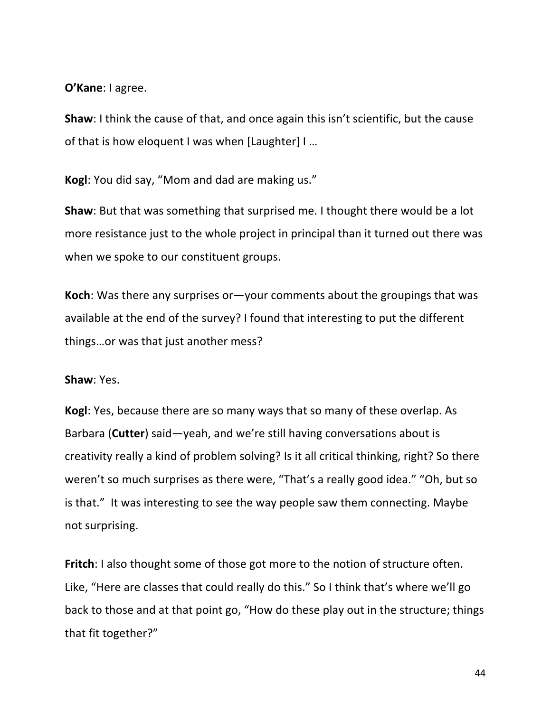**O'Kane**: I agree.

**Shaw**: I think the cause of that, and once again this isn't scientific, but the cause of that is how eloquent I was when [Laughter]  $I$  ...

Kogl: You did say, "Mom and dad are making us."

**Shaw**: But that was something that surprised me. I thought there would be a lot more resistance just to the whole project in principal than it turned out there was when we spoke to our constituent groups.

**Koch**: Was there any surprises or —your comments about the groupings that was available at the end of the survey? I found that interesting to put the different things...or was that just another mess?

#### **Shaw:** Yes.

**Kogl**: Yes, because there are so many ways that so many of these overlap. As Barbara (Cutter) said-yeah, and we're still having conversations about is creativity really a kind of problem solving? Is it all critical thinking, right? So there weren't so much surprises as there were, "That's a really good idea." "Oh, but so is that." It was interesting to see the way people saw them connecting. Maybe not surprising.

**Fritch**: I also thought some of those got more to the notion of structure often. Like, "Here are classes that could really do this." So I think that's where we'll go back to those and at that point go, "How do these play out in the structure; things that fit together?"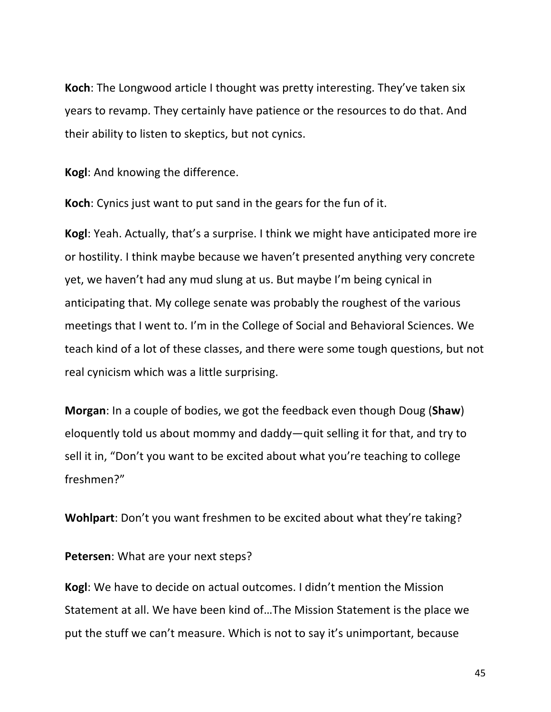**Koch**: The Longwood article I thought was pretty interesting. They've taken six years to revamp. They certainly have patience or the resources to do that. And their ability to listen to skeptics, but not cynics.

**Kogl:** And knowing the difference.

**Koch**: Cynics just want to put sand in the gears for the fun of it.

**Kogl**: Yeah. Actually, that's a surprise. I think we might have anticipated more ire or hostility. I think maybe because we haven't presented anything very concrete yet, we haven't had any mud slung at us. But maybe I'm being cynical in anticipating that. My college senate was probably the roughest of the various meetings that I went to. I'm in the College of Social and Behavioral Sciences. We teach kind of a lot of these classes, and there were some tough questions, but not real cynicism which was a little surprising.

**Morgan**: In a couple of bodies, we got the feedback even though Doug (Shaw) eloquently told us about mommy and daddy—quit selling it for that, and try to sell it in, "Don't you want to be excited about what you're teaching to college freshmen?"

**Wohlpart**: Don't you want freshmen to be excited about what they're taking?

**Petersen:** What are your next steps?

**Kogl:** We have to decide on actual outcomes. I didn't mention the Mission Statement at all. We have been kind of...The Mission Statement is the place we put the stuff we can't measure. Which is not to say it's unimportant, because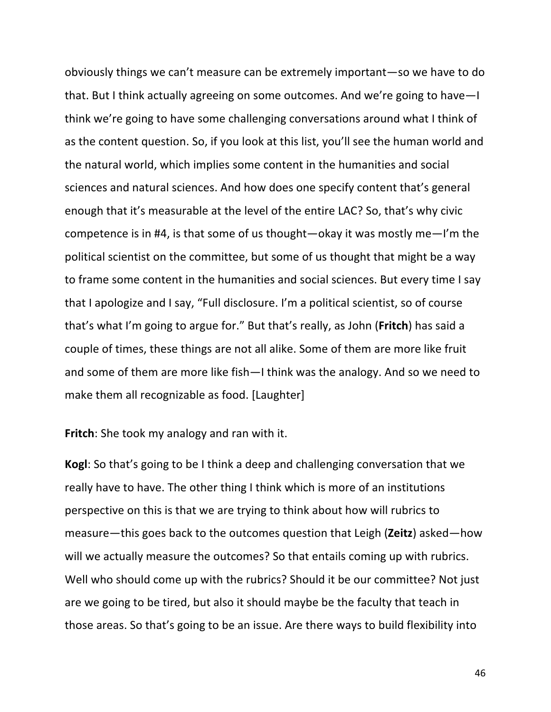obviously things we can't measure can be extremely important—so we have to do that. But I think actually agreeing on some outcomes. And we're going to have—I think we're going to have some challenging conversations around what I think of as the content question. So, if you look at this list, you'll see the human world and the natural world, which implies some content in the humanities and social sciences and natural sciences. And how does one specify content that's general enough that it's measurable at the level of the entire LAC? So, that's why civic competence is in #4, is that some of us thought—okay it was mostly me—I'm the political scientist on the committee, but some of us thought that might be a way to frame some content in the humanities and social sciences. But every time I say that I apologize and I say, "Full disclosure. I'm a political scientist, so of course that's what I'm going to argue for." But that's really, as John (Fritch) has said a couple of times, these things are not all alike. Some of them are more like fruit and some of them are more like fish—I think was the analogy. And so we need to make them all recognizable as food. [Laughter]

**Fritch:** She took my analogy and ran with it.

**Kogl:** So that's going to be I think a deep and challenging conversation that we really have to have. The other thing I think which is more of an institutions perspective on this is that we are trying to think about how will rubrics to measure—this goes back to the outcomes question that Leigh (**Zeitz**) asked—how will we actually measure the outcomes? So that entails coming up with rubrics. Well who should come up with the rubrics? Should it be our committee? Not just are we going to be tired, but also it should maybe be the faculty that teach in those areas. So that's going to be an issue. Are there ways to build flexibility into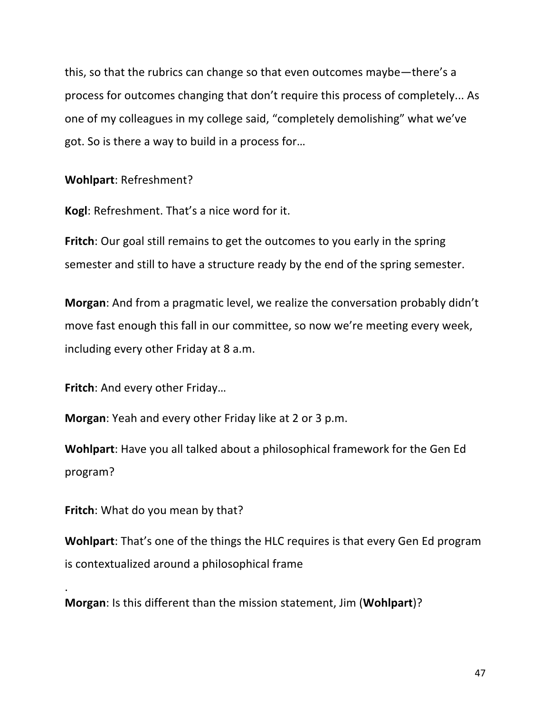this, so that the rubrics can change so that even outcomes maybe—there's a process for outcomes changing that don't require this process of completely... As one of my colleagues in my college said, "completely demolishing" what we've got. So is there a way to build in a process for...

Wohlpart: Refreshment?

**Kogl:** Refreshment. That's a nice word for it.

**Fritch**: Our goal still remains to get the outcomes to you early in the spring semester and still to have a structure ready by the end of the spring semester.

**Morgan:** And from a pragmatic level, we realize the conversation probably didn't move fast enough this fall in our committee, so now we're meeting every week, including every other Friday at 8 a.m.

**Fritch:** And every other Friday...

**Morgan**: Yeah and every other Friday like at 2 or 3 p.m.

**Wohlpart:** Have you all talked about a philosophical framework for the Gen Ed program?

**Fritch:** What do you mean by that?

.

**Wohlpart:** That's one of the things the HLC requires is that every Gen Ed program is contextualized around a philosophical frame

**Morgan:** Is this different than the mission statement, Jim (**Wohlpart**)?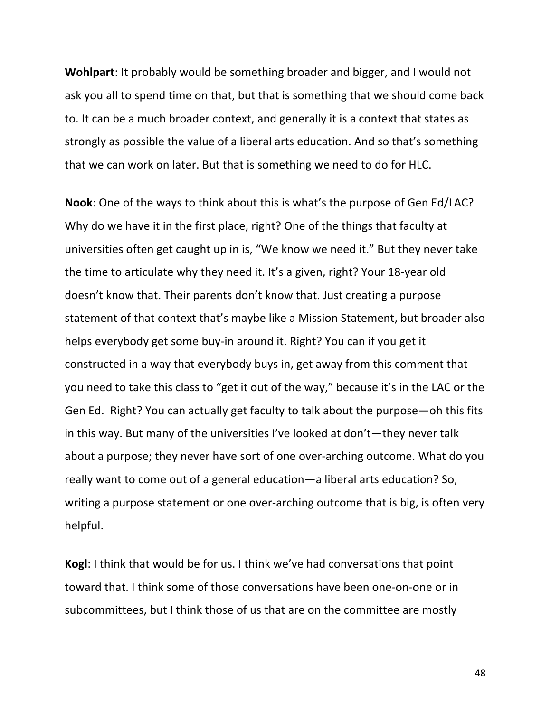**Wohlpart:** It probably would be something broader and bigger, and I would not ask you all to spend time on that, but that is something that we should come back to. It can be a much broader context, and generally it is a context that states as strongly as possible the value of a liberal arts education. And so that's something that we can work on later. But that is something we need to do for HLC.

**Nook**: One of the ways to think about this is what's the purpose of Gen Ed/LAC? Why do we have it in the first place, right? One of the things that faculty at universities often get caught up in is, "We know we need it." But they never take the time to articulate why they need it. It's a given, right? Your 18-year old doesn't know that. Their parents don't know that. Just creating a purpose statement of that context that's maybe like a Mission Statement, but broader also helps everybody get some buy-in around it. Right? You can if you get it constructed in a way that everybody buys in, get away from this comment that you need to take this class to "get it out of the way," because it's in the LAC or the Gen Ed. Right? You can actually get faculty to talk about the purpose—oh this fits in this way. But many of the universities I've looked at don't—they never talk about a purpose; they never have sort of one over-arching outcome. What do you really want to come out of a general education—a liberal arts education? So, writing a purpose statement or one over-arching outcome that is big, is often very helpful.

**Kogl:** I think that would be for us. I think we've had conversations that point toward that. I think some of those conversations have been one-on-one or in subcommittees, but I think those of us that are on the committee are mostly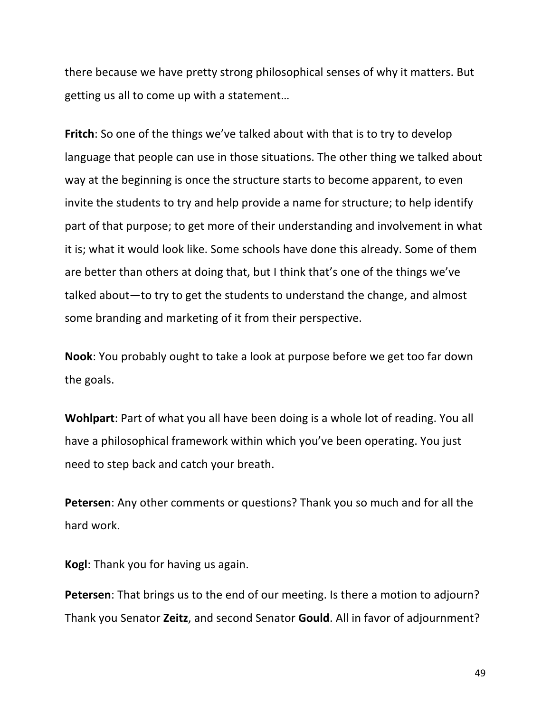there because we have pretty strong philosophical senses of why it matters. But getting us all to come up with a statement...

**Fritch**: So one of the things we've talked about with that is to try to develop language that people can use in those situations. The other thing we talked about way at the beginning is once the structure starts to become apparent, to even invite the students to try and help provide a name for structure; to help identify part of that purpose; to get more of their understanding and involvement in what it is; what it would look like. Some schools have done this already. Some of them are better than others at doing that, but I think that's one of the things we've talked about—to try to get the students to understand the change, and almost some branding and marketing of it from their perspective.

**Nook**: You probably ought to take a look at purpose before we get too far down the goals.

**Wohlpart**: Part of what you all have been doing is a whole lot of reading. You all have a philosophical framework within which you've been operating. You just need to step back and catch your breath.

**Petersen:** Any other comments or questions? Thank you so much and for all the hard work.

**Kogl:** Thank you for having us again.

**Petersen:** That brings us to the end of our meeting. Is there a motion to adjourn? Thank you Senator **Zeitz**, and second Senator **Gould**. All in favor of adjournment?